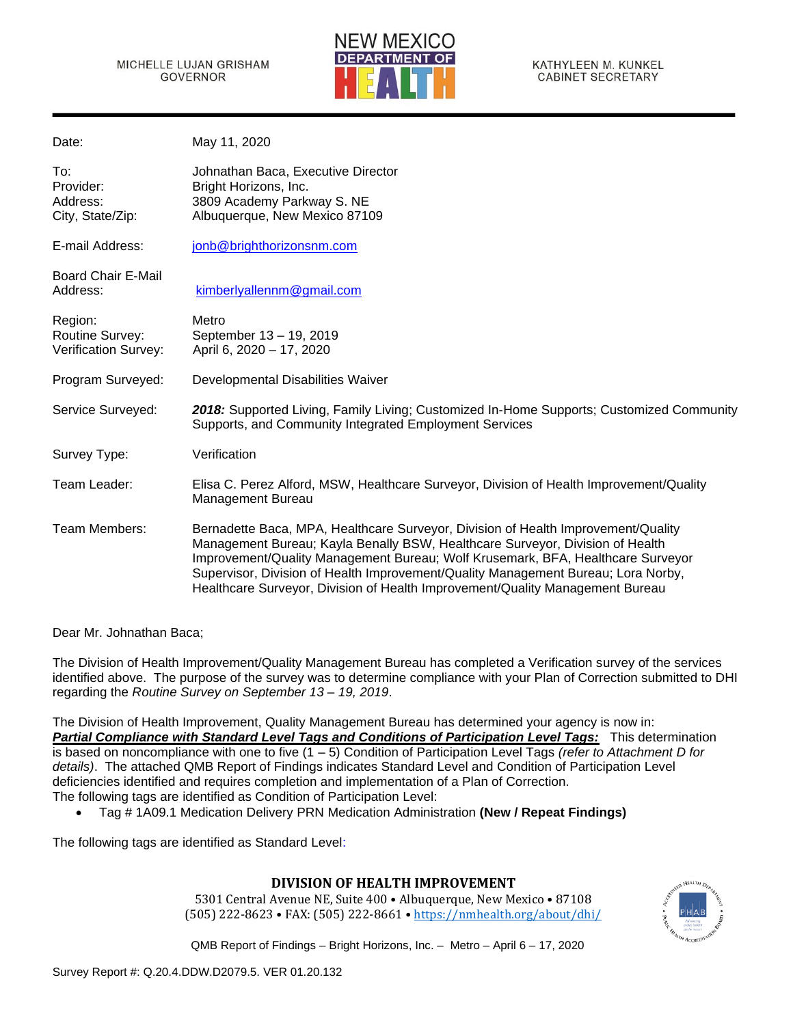

KATHYLEEN M. KUNKEL **CABINET SECRETARY** 

| May 11, 2020                                                                                                                                                                                                                                                                                                                                                                                                                |
|-----------------------------------------------------------------------------------------------------------------------------------------------------------------------------------------------------------------------------------------------------------------------------------------------------------------------------------------------------------------------------------------------------------------------------|
| Johnathan Baca, Executive Director<br>Bright Horizons, Inc.<br>3809 Academy Parkway S. NE<br>Albuquerque, New Mexico 87109                                                                                                                                                                                                                                                                                                  |
| jonb@brighthorizonsnm.com                                                                                                                                                                                                                                                                                                                                                                                                   |
| kimberlyallennm@gmail.com                                                                                                                                                                                                                                                                                                                                                                                                   |
| Metro<br>September 13 - 19, 2019<br>April 6, 2020 - 17, 2020                                                                                                                                                                                                                                                                                                                                                                |
| Developmental Disabilities Waiver                                                                                                                                                                                                                                                                                                                                                                                           |
| 2018: Supported Living, Family Living; Customized In-Home Supports; Customized Community<br>Supports, and Community Integrated Employment Services                                                                                                                                                                                                                                                                          |
| Verification                                                                                                                                                                                                                                                                                                                                                                                                                |
| Elisa C. Perez Alford, MSW, Healthcare Surveyor, Division of Health Improvement/Quality<br><b>Management Bureau</b>                                                                                                                                                                                                                                                                                                         |
| Bernadette Baca, MPA, Healthcare Surveyor, Division of Health Improvement/Quality<br>Management Bureau; Kayla Benally BSW, Healthcare Surveyor, Division of Health<br>Improvement/Quality Management Bureau; Wolf Krusemark, BFA, Healthcare Surveyor<br>Supervisor, Division of Health Improvement/Quality Management Bureau; Lora Norby,<br>Healthcare Surveyor, Division of Health Improvement/Quality Management Bureau |
|                                                                                                                                                                                                                                                                                                                                                                                                                             |

Dear Mr. Johnathan Baca;

The Division of Health Improvement/Quality Management Bureau has completed a Verification survey of the services identified above. The purpose of the survey was to determine compliance with your Plan of Correction submitted to DHI regarding the *Routine Survey on September 13 – 19, 2019*.

The Division of Health Improvement, Quality Management Bureau has determined your agency is now in: *Partial Compliance with Standard Level Tags and Conditions of Participation Level Tags:* This determination is based on noncompliance with one to five (1 – 5) Condition of Participation Level Tags *(refer to Attachment D for details)*. The attached QMB Report of Findings indicates Standard Level and Condition of Participation Level deficiencies identified and requires completion and implementation of a Plan of Correction. The following tags are identified as Condition of Participation Level:

• Tag # 1A09.1 Medication Delivery PRN Medication Administration **(New / Repeat Findings)**

The following tags are identified as Standard Level:

# **DIVISION OF HEALTH IMPROVEMENT**

5301 Central Avenue NE, Suite 400 • Albuquerque, New Mexico • 87108 (505) 222-8623 • FAX: (505) 222-8661 • <https://nmhealth.org/about/dhi/>

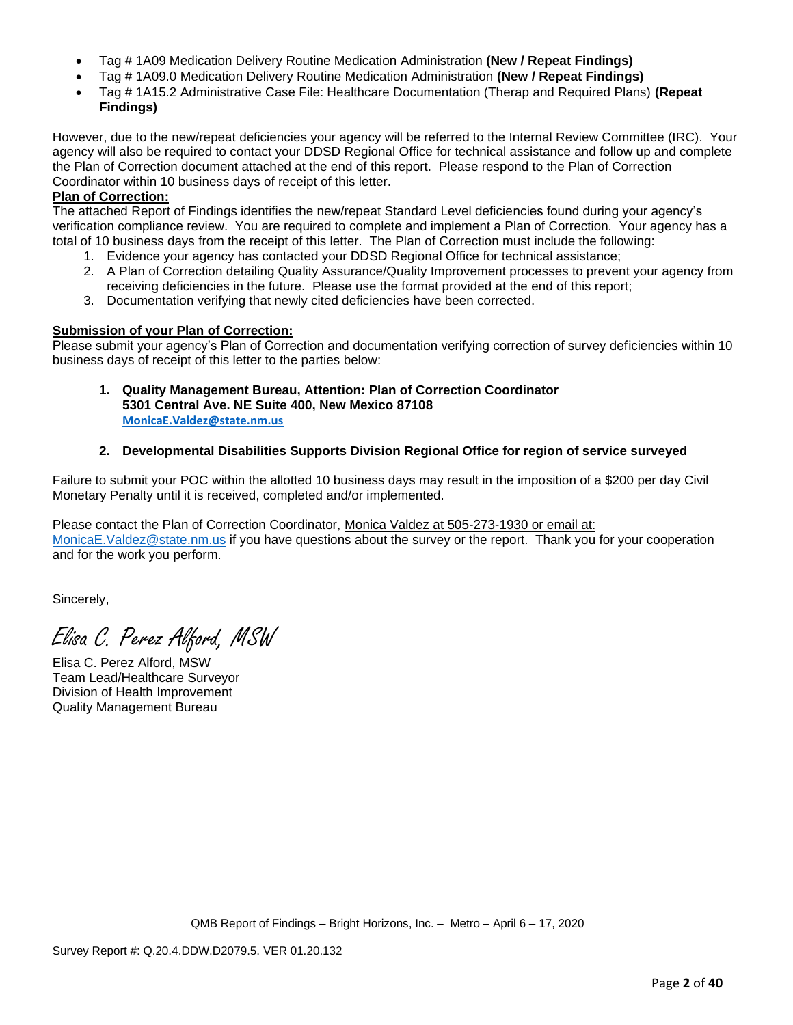- Tag # 1A09 Medication Delivery Routine Medication Administration **(New / Repeat Findings)**
- Tag # 1A09.0 Medication Delivery Routine Medication Administration **(New / Repeat Findings)**
- Tag # 1A15.2 Administrative Case File: Healthcare Documentation (Therap and Required Plans) **(Repeat Findings)**

However, due to the new/repeat deficiencies your agency will be referred to the Internal Review Committee (IRC). Your agency will also be required to contact your DDSD Regional Office for technical assistance and follow up and complete the Plan of Correction document attached at the end of this report. Please respond to the Plan of Correction Coordinator within 10 business days of receipt of this letter.

## **Plan of Correction:**

The attached Report of Findings identifies the new/repeat Standard Level deficiencies found during your agency's verification compliance review. You are required to complete and implement a Plan of Correction. Your agency has a total of 10 business days from the receipt of this letter. The Plan of Correction must include the following:

- 1. Evidence your agency has contacted your DDSD Regional Office for technical assistance;
- 2. A Plan of Correction detailing Quality Assurance/Quality Improvement processes to prevent your agency from receiving deficiencies in the future. Please use the format provided at the end of this report;
- 3. Documentation verifying that newly cited deficiencies have been corrected.

## **Submission of your Plan of Correction:**

Please submit your agency's Plan of Correction and documentation verifying correction of survey deficiencies within 10 business days of receipt of this letter to the parties below:

**1. Quality Management Bureau, Attention: Plan of Correction Coordinator 5301 Central Ave. NE Suite 400, New Mexico 87108 [MonicaE.Valdez@state.nm.us](mailto:MonicaE.Valdez@state.nm.us)**

## **2. Developmental Disabilities Supports Division Regional Office for region of service surveyed**

Failure to submit your POC within the allotted 10 business days may result in the imposition of a \$200 per day Civil Monetary Penalty until it is received, completed and/or implemented.

Please contact the Plan of Correction Coordinator, Monica Valdez at 505-273-1930 or email at: [MonicaE.Valdez@state.nm.us](mailto:MonicaE.Valdez@state.nm.us) if you have questions about the survey or the report. Thank you for your cooperation and for the work you perform.

Sincerely,

Elisa C. Perez Alford, MSW

Elisa C. Perez Alford, MSW Team Lead/Healthcare Surveyor Division of Health Improvement Quality Management Bureau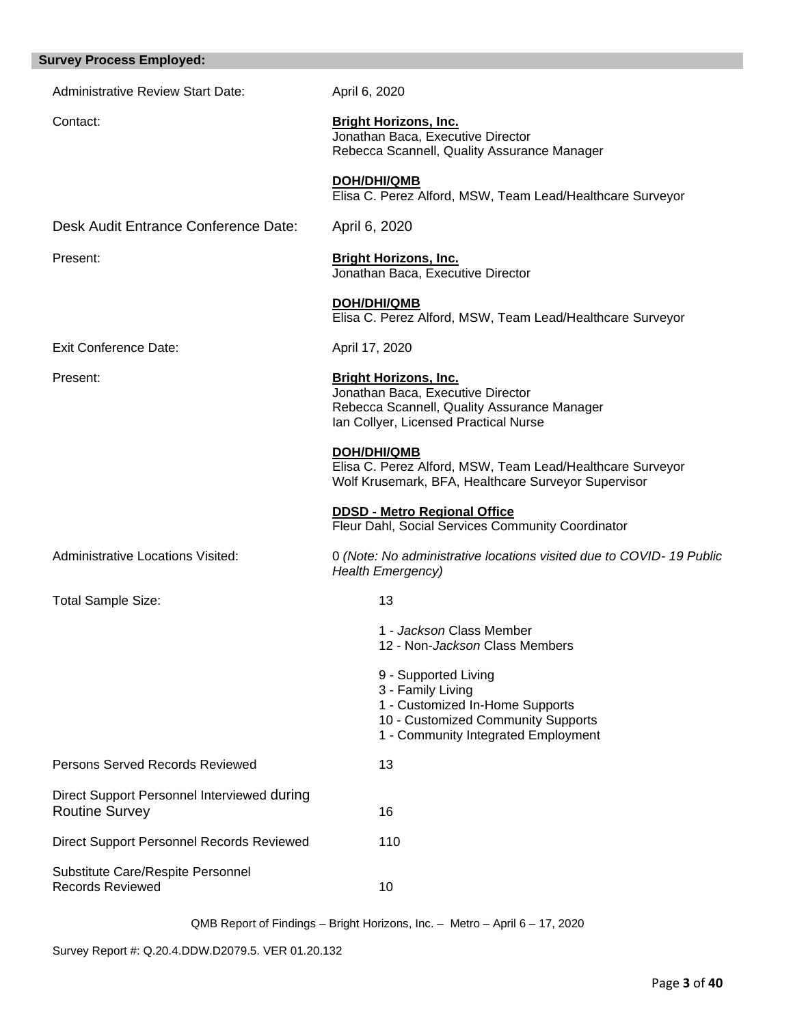| <b>Survey Process Employed:</b>                                      |                                                                                                                                                           |
|----------------------------------------------------------------------|-----------------------------------------------------------------------------------------------------------------------------------------------------------|
| <b>Administrative Review Start Date:</b>                             | April 6, 2020                                                                                                                                             |
| Contact:                                                             | <b>Bright Horizons, Inc.</b><br>Jonathan Baca, Executive Director<br>Rebecca Scannell, Quality Assurance Manager                                          |
|                                                                      | DOH/DHI/QMB<br>Elisa C. Perez Alford, MSW, Team Lead/Healthcare Surveyor                                                                                  |
| Desk Audit Entrance Conference Date:                                 | April 6, 2020                                                                                                                                             |
| Present:                                                             | <b>Bright Horizons, Inc.</b><br>Jonathan Baca, Executive Director                                                                                         |
|                                                                      | <b>DOH/DHI/QMB</b><br>Elisa C. Perez Alford, MSW, Team Lead/Healthcare Surveyor                                                                           |
| Exit Conference Date:                                                | April 17, 2020                                                                                                                                            |
| Present:                                                             | <b>Bright Horizons, Inc.</b><br>Jonathan Baca, Executive Director<br>Rebecca Scannell, Quality Assurance Manager<br>Ian Collyer, Licensed Practical Nurse |
|                                                                      | DOH/DHI/QMB<br>Elisa C. Perez Alford, MSW, Team Lead/Healthcare Surveyor<br>Wolf Krusemark, BFA, Healthcare Surveyor Supervisor                           |
|                                                                      | <b>DDSD - Metro Regional Office</b><br>Fleur Dahl, Social Services Community Coordinator                                                                  |
| <b>Administrative Locations Visited:</b>                             | 0 (Note: No administrative locations visited due to COVID-19 Public<br><b>Health Emergency)</b>                                                           |
| Total Sample Size:                                                   | 13                                                                                                                                                        |
|                                                                      | 1 - Jackson Class Member<br>12 - Non-Jackson Class Members                                                                                                |
|                                                                      | 9 - Supported Living<br>3 - Family Living<br>1 - Customized In-Home Supports<br>10 - Customized Community Supports<br>1 - Community Integrated Employment |
| Persons Served Records Reviewed                                      | 13                                                                                                                                                        |
| Direct Support Personnel Interviewed during<br><b>Routine Survey</b> | 16                                                                                                                                                        |
| Direct Support Personnel Records Reviewed                            | 110                                                                                                                                                       |
| Substitute Care/Respite Personnel<br><b>Records Reviewed</b>         | 10                                                                                                                                                        |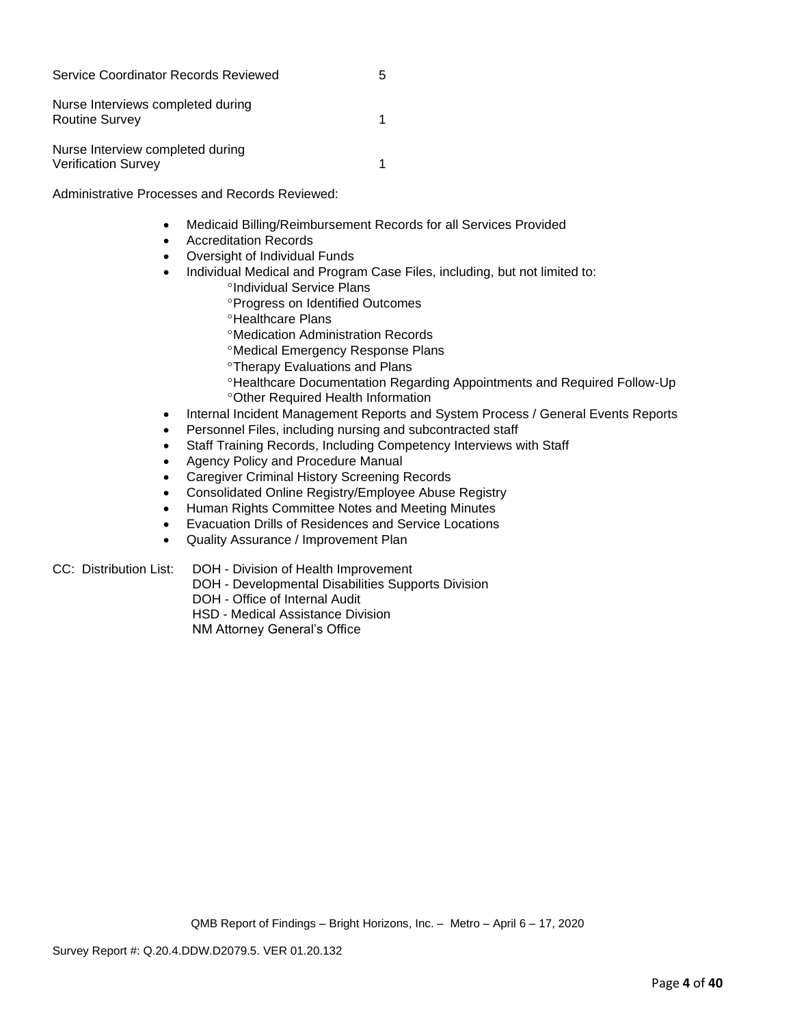| Service Coordinator Records Reviewed                           | h |
|----------------------------------------------------------------|---|
| Nurse Interviews completed during<br><b>Routine Survey</b>     |   |
| Nurse Interview completed during<br><b>Verification Survey</b> |   |

Administrative Processes and Records Reviewed:

- Medicaid Billing/Reimbursement Records for all Services Provided
- Accreditation Records
- Oversight of Individual Funds
- Individual Medical and Program Case Files, including, but not limited to:
	- <sup>o</sup>Individual Service Plans
		- Progress on Identified Outcomes
		- **<sup>o</sup>Healthcare Plans**
		- Medication Administration Records
		- Medical Emergency Response Plans
		- **Therapy Evaluations and Plans**
		- Healthcare Documentation Regarding Appointments and Required Follow-Up Other Required Health Information
- Internal Incident Management Reports and System Process / General Events Reports
- Personnel Files, including nursing and subcontracted staff
- Staff Training Records, Including Competency Interviews with Staff
- Agency Policy and Procedure Manual
- Caregiver Criminal History Screening Records
- Consolidated Online Registry/Employee Abuse Registry
- Human Rights Committee Notes and Meeting Minutes
- Evacuation Drills of Residences and Service Locations
- Quality Assurance / Improvement Plan

CC: Distribution List: DOH - Division of Health Improvement

- DOH Developmental Disabilities Supports Division
- DOH Office of Internal Audit
- HSD Medical Assistance Division

NM Attorney General's Office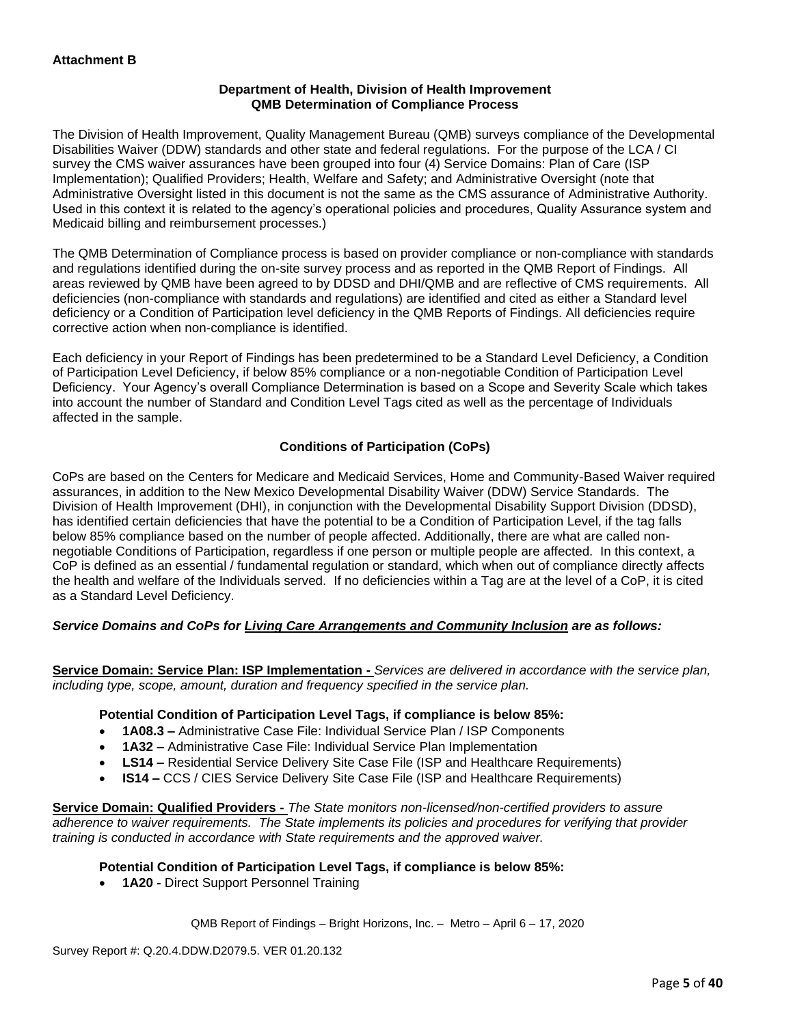## **Department of Health, Division of Health Improvement QMB Determination of Compliance Process**

The Division of Health Improvement, Quality Management Bureau (QMB) surveys compliance of the Developmental Disabilities Waiver (DDW) standards and other state and federal regulations. For the purpose of the LCA / CI survey the CMS waiver assurances have been grouped into four (4) Service Domains: Plan of Care (ISP Implementation); Qualified Providers; Health, Welfare and Safety; and Administrative Oversight (note that Administrative Oversight listed in this document is not the same as the CMS assurance of Administrative Authority. Used in this context it is related to the agency's operational policies and procedures, Quality Assurance system and Medicaid billing and reimbursement processes.)

The QMB Determination of Compliance process is based on provider compliance or non-compliance with standards and regulations identified during the on-site survey process and as reported in the QMB Report of Findings. All areas reviewed by QMB have been agreed to by DDSD and DHI/QMB and are reflective of CMS requirements. All deficiencies (non-compliance with standards and regulations) are identified and cited as either a Standard level deficiency or a Condition of Participation level deficiency in the QMB Reports of Findings. All deficiencies require corrective action when non-compliance is identified.

Each deficiency in your Report of Findings has been predetermined to be a Standard Level Deficiency, a Condition of Participation Level Deficiency, if below 85% compliance or a non-negotiable Condition of Participation Level Deficiency. Your Agency's overall Compliance Determination is based on a Scope and Severity Scale which takes into account the number of Standard and Condition Level Tags cited as well as the percentage of Individuals affected in the sample.

## **Conditions of Participation (CoPs)**

CoPs are based on the Centers for Medicare and Medicaid Services, Home and Community-Based Waiver required assurances, in addition to the New Mexico Developmental Disability Waiver (DDW) Service Standards. The Division of Health Improvement (DHI), in conjunction with the Developmental Disability Support Division (DDSD), has identified certain deficiencies that have the potential to be a Condition of Participation Level, if the tag falls below 85% compliance based on the number of people affected. Additionally, there are what are called nonnegotiable Conditions of Participation, regardless if one person or multiple people are affected. In this context, a CoP is defined as an essential / fundamental regulation or standard, which when out of compliance directly affects the health and welfare of the Individuals served. If no deficiencies within a Tag are at the level of a CoP, it is cited as a Standard Level Deficiency.

## *Service Domains and CoPs for Living Care Arrangements and Community Inclusion are as follows:*

**Service Domain: Service Plan: ISP Implementation -** *Services are delivered in accordance with the service plan, including type, scope, amount, duration and frequency specified in the service plan.*

#### **Potential Condition of Participation Level Tags, if compliance is below 85%:**

- **1A08.3 –** Administrative Case File: Individual Service Plan / ISP Components
- **1A32 –** Administrative Case File: Individual Service Plan Implementation
- **LS14 –** Residential Service Delivery Site Case File (ISP and Healthcare Requirements)
- **IS14 –** CCS / CIES Service Delivery Site Case File (ISP and Healthcare Requirements)

**Service Domain: Qualified Providers -** *The State monitors non-licensed/non-certified providers to assure adherence to waiver requirements. The State implements its policies and procedures for verifying that provider training is conducted in accordance with State requirements and the approved waiver.*

#### **Potential Condition of Participation Level Tags, if compliance is below 85%:**

• **1A20 -** Direct Support Personnel Training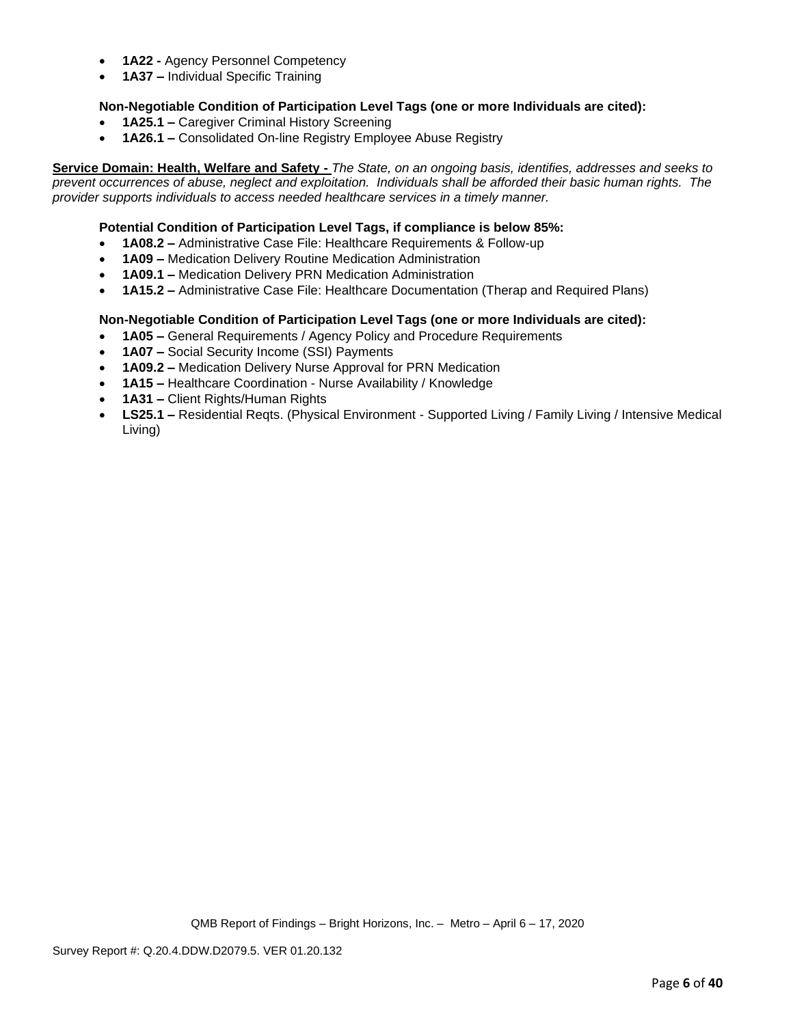- **1A22 -** Agency Personnel Competency
- **1A37 –** Individual Specific Training

## **Non-Negotiable Condition of Participation Level Tags (one or more Individuals are cited):**

- **1A25.1 –** Caregiver Criminal History Screening
- **1A26.1 –** Consolidated On-line Registry Employee Abuse Registry

**Service Domain: Health, Welfare and Safety -** *The State, on an ongoing basis, identifies, addresses and seeks to prevent occurrences of abuse, neglect and exploitation. Individuals shall be afforded their basic human rights. The provider supports individuals to access needed healthcare services in a timely manner.*

### **Potential Condition of Participation Level Tags, if compliance is below 85%:**

- **1A08.2 –** Administrative Case File: Healthcare Requirements & Follow-up
- **1A09 –** Medication Delivery Routine Medication Administration
- **1A09.1 –** Medication Delivery PRN Medication Administration
- **1A15.2 –** Administrative Case File: Healthcare Documentation (Therap and Required Plans)

## **Non-Negotiable Condition of Participation Level Tags (one or more Individuals are cited):**

- **1A05 –** General Requirements / Agency Policy and Procedure Requirements
- **1A07 –** Social Security Income (SSI) Payments
- **1A09.2 –** Medication Delivery Nurse Approval for PRN Medication
- **1A15 –** Healthcare Coordination Nurse Availability / Knowledge
- **1A31 –** Client Rights/Human Rights
- **LS25.1 –** Residential Reqts. (Physical Environment Supported Living / Family Living / Intensive Medical Living)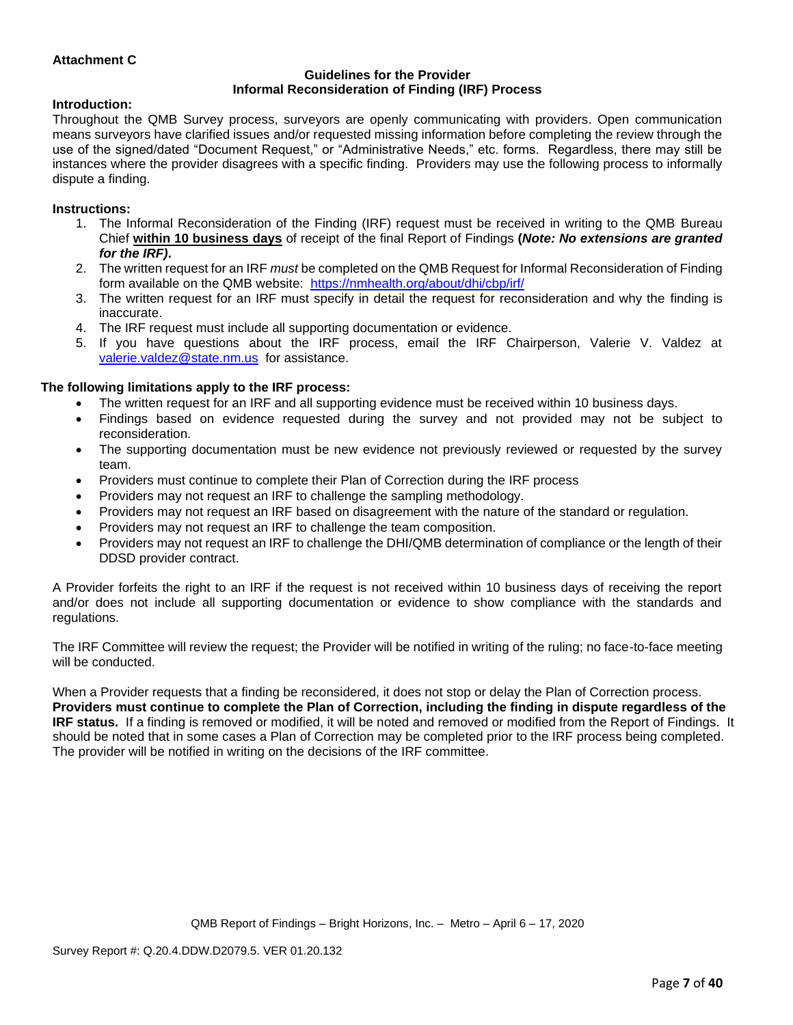## **Attachment C**

#### **Guidelines for the Provider Informal Reconsideration of Finding (IRF) Process**

#### **Introduction:**

Throughout the QMB Survey process, surveyors are openly communicating with providers. Open communication means surveyors have clarified issues and/or requested missing information before completing the review through the use of the signed/dated "Document Request," or "Administrative Needs," etc. forms. Regardless, there may still be instances where the provider disagrees with a specific finding. Providers may use the following process to informally dispute a finding.

#### **Instructions:**

- 1. The Informal Reconsideration of the Finding (IRF) request must be received in writing to the QMB Bureau Chief **within 10 business days** of receipt of the final Report of Findings **(***Note: No extensions are granted for the IRF)***.**
- 2. The written request for an IRF *must* be completed on the QMB Request for Informal Reconsideration of Finding form available on the QMB website: <https://nmhealth.org/about/dhi/cbp/irf/>
- 3. The written request for an IRF must specify in detail the request for reconsideration and why the finding is inaccurate.
- 4. The IRF request must include all supporting documentation or evidence.
- 5. If you have questions about the IRF process, email the IRF Chairperson, Valerie V. Valdez at [valerie.valdez@state.nm.us](mailto:valerie.valdez@state.nm.us) for assistance.

#### **The following limitations apply to the IRF process:**

- The written request for an IRF and all supporting evidence must be received within 10 business days.
- Findings based on evidence requested during the survey and not provided may not be subject to reconsideration.
- The supporting documentation must be new evidence not previously reviewed or requested by the survey team.
- Providers must continue to complete their Plan of Correction during the IRF process
- Providers may not request an IRF to challenge the sampling methodology.
- Providers may not request an IRF based on disagreement with the nature of the standard or regulation.
- Providers may not request an IRF to challenge the team composition.
- Providers may not request an IRF to challenge the DHI/QMB determination of compliance or the length of their DDSD provider contract.

A Provider forfeits the right to an IRF if the request is not received within 10 business days of receiving the report and/or does not include all supporting documentation or evidence to show compliance with the standards and regulations.

The IRF Committee will review the request; the Provider will be notified in writing of the ruling; no face-to-face meeting will be conducted.

When a Provider requests that a finding be reconsidered, it does not stop or delay the Plan of Correction process. **Providers must continue to complete the Plan of Correction, including the finding in dispute regardless of the IRF status.** If a finding is removed or modified, it will be noted and removed or modified from the Report of Findings. It should be noted that in some cases a Plan of Correction may be completed prior to the IRF process being completed. The provider will be notified in writing on the decisions of the IRF committee.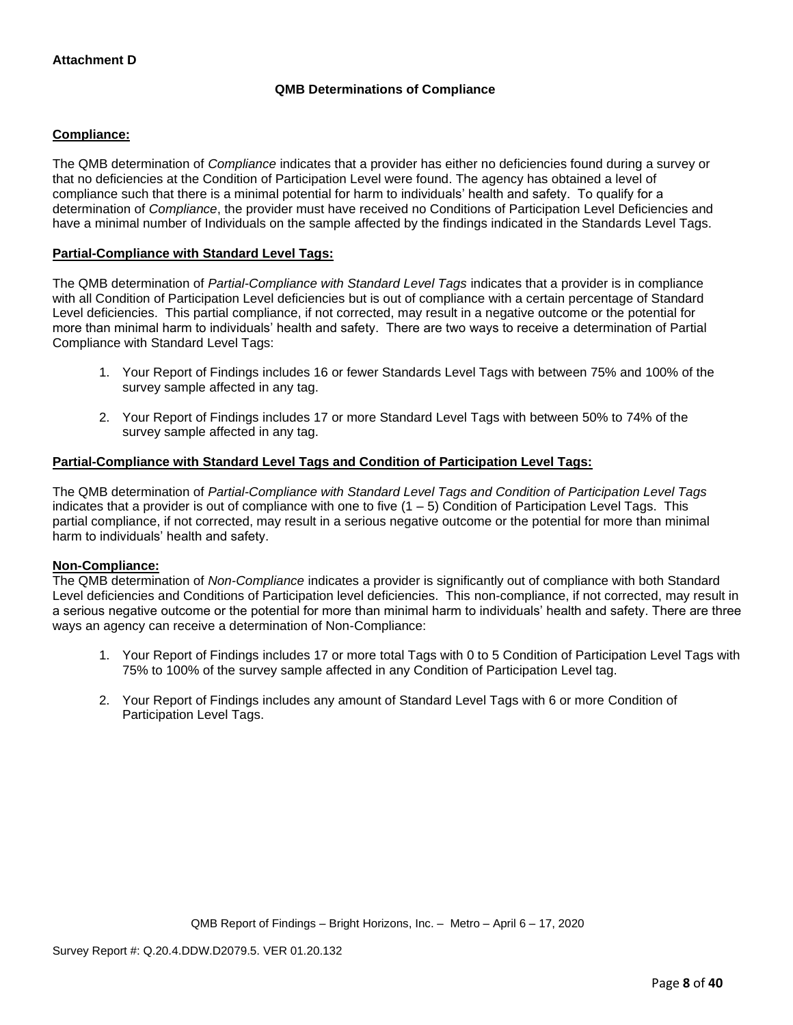## **QMB Determinations of Compliance**

## **Compliance:**

The QMB determination of *Compliance* indicates that a provider has either no deficiencies found during a survey or that no deficiencies at the Condition of Participation Level were found. The agency has obtained a level of compliance such that there is a minimal potential for harm to individuals' health and safety. To qualify for a determination of *Compliance*, the provider must have received no Conditions of Participation Level Deficiencies and have a minimal number of Individuals on the sample affected by the findings indicated in the Standards Level Tags.

## **Partial-Compliance with Standard Level Tags:**

The QMB determination of *Partial-Compliance with Standard Level Tags* indicates that a provider is in compliance with all Condition of Participation Level deficiencies but is out of compliance with a certain percentage of Standard Level deficiencies. This partial compliance, if not corrected, may result in a negative outcome or the potential for more than minimal harm to individuals' health and safety. There are two ways to receive a determination of Partial Compliance with Standard Level Tags:

- 1. Your Report of Findings includes 16 or fewer Standards Level Tags with between 75% and 100% of the survey sample affected in any tag.
- 2. Your Report of Findings includes 17 or more Standard Level Tags with between 50% to 74% of the survey sample affected in any tag.

## **Partial-Compliance with Standard Level Tags and Condition of Participation Level Tags:**

The QMB determination of *Partial-Compliance with Standard Level Tags and Condition of Participation Level Tags*  indicates that a provider is out of compliance with one to five  $(1 - 5)$  Condition of Participation Level Tags. This partial compliance, if not corrected, may result in a serious negative outcome or the potential for more than minimal harm to individuals' health and safety.

#### **Non-Compliance:**

The QMB determination of *Non-Compliance* indicates a provider is significantly out of compliance with both Standard Level deficiencies and Conditions of Participation level deficiencies. This non-compliance, if not corrected, may result in a serious negative outcome or the potential for more than minimal harm to individuals' health and safety. There are three ways an agency can receive a determination of Non-Compliance:

- 1. Your Report of Findings includes 17 or more total Tags with 0 to 5 Condition of Participation Level Tags with 75% to 100% of the survey sample affected in any Condition of Participation Level tag.
- 2. Your Report of Findings includes any amount of Standard Level Tags with 6 or more Condition of Participation Level Tags.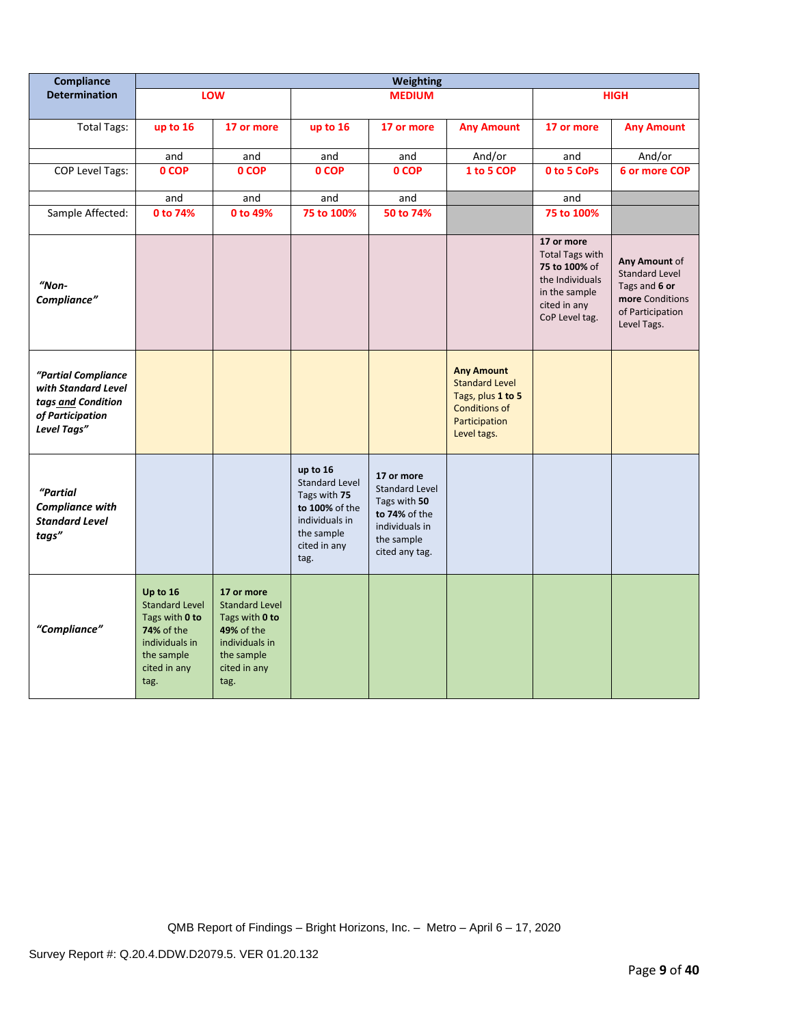| Compliance                                                                                          | <b>Weighting</b>                                                                                                                 |                                                                                                                                    |                                                                                                                             |                                                                                                                        |                                                                                                                         |                                                                                                                             |                                                                                                               |
|-----------------------------------------------------------------------------------------------------|----------------------------------------------------------------------------------------------------------------------------------|------------------------------------------------------------------------------------------------------------------------------------|-----------------------------------------------------------------------------------------------------------------------------|------------------------------------------------------------------------------------------------------------------------|-------------------------------------------------------------------------------------------------------------------------|-----------------------------------------------------------------------------------------------------------------------------|---------------------------------------------------------------------------------------------------------------|
| <b>Determination</b>                                                                                |                                                                                                                                  | <b>LOW</b>                                                                                                                         | <b>MEDIUM</b>                                                                                                               |                                                                                                                        | <b>HIGH</b>                                                                                                             |                                                                                                                             |                                                                                                               |
| <b>Total Tags:</b>                                                                                  | up to 16                                                                                                                         | 17 or more                                                                                                                         | up to 16                                                                                                                    | 17 or more                                                                                                             | <b>Any Amount</b>                                                                                                       | 17 or more                                                                                                                  | <b>Any Amount</b>                                                                                             |
|                                                                                                     | and                                                                                                                              | and                                                                                                                                | and                                                                                                                         | and                                                                                                                    | And/or                                                                                                                  | and                                                                                                                         | And/or                                                                                                        |
| COP Level Tags:                                                                                     | 0 COP                                                                                                                            | 0 COP                                                                                                                              | 0 COP                                                                                                                       | 0 COP                                                                                                                  | 1 to 5 COP                                                                                                              | 0 to 5 CoPs                                                                                                                 | 6 or more COP                                                                                                 |
|                                                                                                     | and                                                                                                                              | and                                                                                                                                | and                                                                                                                         | and                                                                                                                    |                                                                                                                         | and                                                                                                                         |                                                                                                               |
| Sample Affected:                                                                                    | 0 to 74%                                                                                                                         | 0 to 49%                                                                                                                           | 75 to 100%                                                                                                                  | 50 to 74%                                                                                                              |                                                                                                                         | 75 to 100%                                                                                                                  |                                                                                                               |
| $"Non-$<br>Compliance"                                                                              |                                                                                                                                  |                                                                                                                                    |                                                                                                                             |                                                                                                                        |                                                                                                                         | 17 or more<br><b>Total Tags with</b><br>75 to 100% of<br>the Individuals<br>in the sample<br>cited in any<br>CoP Level tag. | Any Amount of<br><b>Standard Level</b><br>Tags and 6 or<br>more Conditions<br>of Participation<br>Level Tags. |
| "Partial Compliance<br>with Standard Level<br>tags and Condition<br>of Participation<br>Level Tags" |                                                                                                                                  |                                                                                                                                    |                                                                                                                             |                                                                                                                        | <b>Any Amount</b><br><b>Standard Level</b><br>Tags, plus 1 to 5<br><b>Conditions of</b><br>Participation<br>Level tags. |                                                                                                                             |                                                                                                               |
| "Partial<br><b>Compliance with</b><br><b>Standard Level</b><br>tags"                                |                                                                                                                                  |                                                                                                                                    | up to 16<br><b>Standard Level</b><br>Tags with 75<br>to 100% of the<br>individuals in<br>the sample<br>cited in any<br>tag. | 17 or more<br><b>Standard Level</b><br>Tags with 50<br>to 74% of the<br>individuals in<br>the sample<br>cited any tag. |                                                                                                                         |                                                                                                                             |                                                                                                               |
| "Compliance"                                                                                        | Up to 16<br><b>Standard Level</b><br>Tags with 0 to<br><b>74% of the</b><br>individuals in<br>the sample<br>cited in any<br>tag. | 17 or more<br><b>Standard Level</b><br>Tags with 0 to<br><b>49% of the</b><br>individuals in<br>the sample<br>cited in any<br>tag. |                                                                                                                             |                                                                                                                        |                                                                                                                         |                                                                                                                             |                                                                                                               |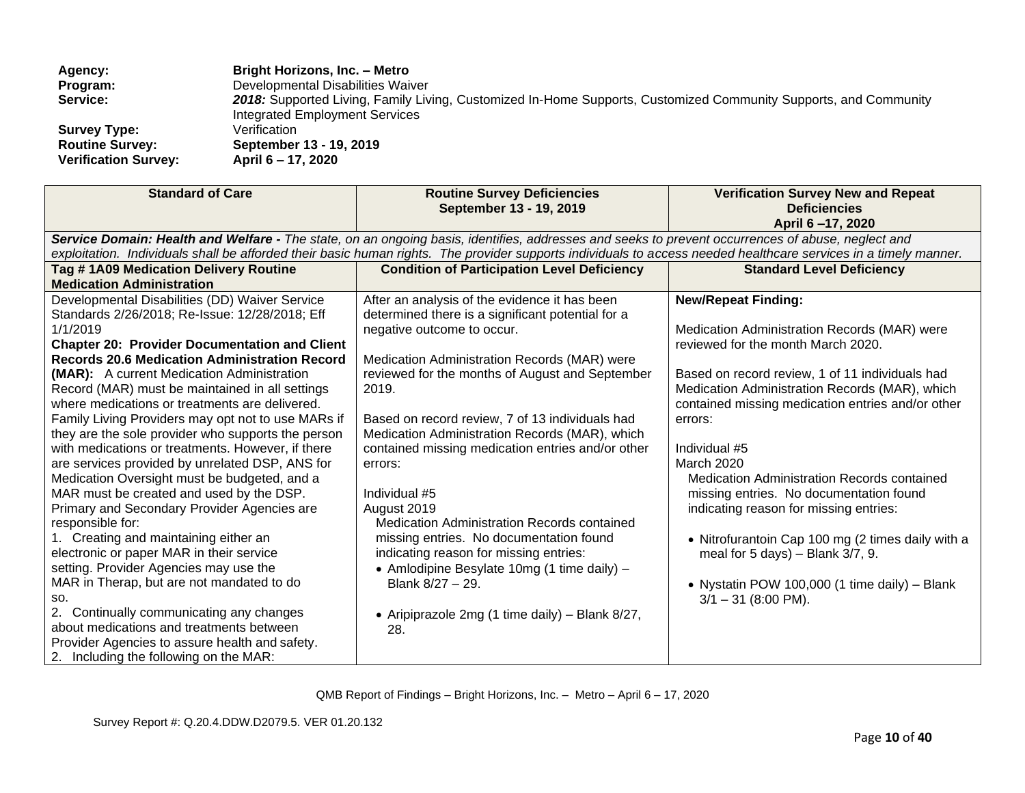| Agency:                     | <b>Bright Horizons, Inc. - Metro</b>                                                                             |
|-----------------------------|------------------------------------------------------------------------------------------------------------------|
| Program:                    | Developmental Disabilities Waiver                                                                                |
| Service:                    | 2018: Supported Living, Family Living, Customized In-Home Supports, Customized Community Supports, and Community |
|                             | Integrated Employment Services                                                                                   |
| <b>Survey Type:</b>         | Verification                                                                                                     |
| <b>Routine Survey:</b>      | September 13 - 19, 2019                                                                                          |
| <b>Verification Survey:</b> | April 6 – 17, 2020                                                                                               |
|                             |                                                                                                                  |

| <b>Standard of Care</b>                                                                                                                                                                                                                                                                                                                                                                                                                                                                                                                                                                                                                                                                                                                                                                                                                                                                                                                                                                                                                                                                                                                   | <b>Routine Survey Deficiencies</b><br>September 13 - 19, 2019                                                                                                                                                                                                                                                                                                                                                                                                                                                                                                                                                                                                                                                             | <b>Verification Survey New and Repeat</b><br><b>Deficiencies</b><br>April 6-17, 2020                                                                                                                                                                                                                                                                                                                                                                                                                                                                                                                                                    |
|-------------------------------------------------------------------------------------------------------------------------------------------------------------------------------------------------------------------------------------------------------------------------------------------------------------------------------------------------------------------------------------------------------------------------------------------------------------------------------------------------------------------------------------------------------------------------------------------------------------------------------------------------------------------------------------------------------------------------------------------------------------------------------------------------------------------------------------------------------------------------------------------------------------------------------------------------------------------------------------------------------------------------------------------------------------------------------------------------------------------------------------------|---------------------------------------------------------------------------------------------------------------------------------------------------------------------------------------------------------------------------------------------------------------------------------------------------------------------------------------------------------------------------------------------------------------------------------------------------------------------------------------------------------------------------------------------------------------------------------------------------------------------------------------------------------------------------------------------------------------------------|-----------------------------------------------------------------------------------------------------------------------------------------------------------------------------------------------------------------------------------------------------------------------------------------------------------------------------------------------------------------------------------------------------------------------------------------------------------------------------------------------------------------------------------------------------------------------------------------------------------------------------------------|
|                                                                                                                                                                                                                                                                                                                                                                                                                                                                                                                                                                                                                                                                                                                                                                                                                                                                                                                                                                                                                                                                                                                                           | Service Domain: Health and Welfare - The state, on an ongoing basis, identifies, addresses and seeks to prevent occurrences of abuse, neglect and<br>exploitation. Individuals shall be afforded their basic human rights. The provider supports individuals to access needed healthcare services in a timely manner.                                                                                                                                                                                                                                                                                                                                                                                                     |                                                                                                                                                                                                                                                                                                                                                                                                                                                                                                                                                                                                                                         |
| Tag #1A09 Medication Delivery Routine<br><b>Medication Administration</b>                                                                                                                                                                                                                                                                                                                                                                                                                                                                                                                                                                                                                                                                                                                                                                                                                                                                                                                                                                                                                                                                 | <b>Condition of Participation Level Deficiency</b>                                                                                                                                                                                                                                                                                                                                                                                                                                                                                                                                                                                                                                                                        | <b>Standard Level Deficiency</b>                                                                                                                                                                                                                                                                                                                                                                                                                                                                                                                                                                                                        |
| Developmental Disabilities (DD) Waiver Service<br>Standards 2/26/2018; Re-Issue: 12/28/2018; Eff<br>1/1/2019<br><b>Chapter 20: Provider Documentation and Client</b><br><b>Records 20.6 Medication Administration Record</b><br>(MAR): A current Medication Administration<br>Record (MAR) must be maintained in all settings<br>where medications or treatments are delivered.<br>Family Living Providers may opt not to use MARs if<br>they are the sole provider who supports the person<br>with medications or treatments. However, if there<br>are services provided by unrelated DSP, ANS for<br>Medication Oversight must be budgeted, and a<br>MAR must be created and used by the DSP.<br>Primary and Secondary Provider Agencies are<br>responsible for:<br>1. Creating and maintaining either an<br>electronic or paper MAR in their service<br>setting. Provider Agencies may use the<br>MAR in Therap, but are not mandated to do<br>SO.<br>2. Continually communicating any changes<br>about medications and treatments between<br>Provider Agencies to assure health and safety.<br>2. Including the following on the MAR: | After an analysis of the evidence it has been<br>determined there is a significant potential for a<br>negative outcome to occur.<br>Medication Administration Records (MAR) were<br>reviewed for the months of August and September<br>2019.<br>Based on record review, 7 of 13 individuals had<br>Medication Administration Records (MAR), which<br>contained missing medication entries and/or other<br>errors:<br>Individual #5<br>August 2019<br><b>Medication Administration Records contained</b><br>missing entries. No documentation found<br>indicating reason for missing entries:<br>• Amlodipine Besylate 10mg (1 time daily) -<br>Blank 8/27 - 29.<br>• Aripiprazole 2mg (1 time daily) - Blank 8/27,<br>28. | <b>New/Repeat Finding:</b><br>Medication Administration Records (MAR) were<br>reviewed for the month March 2020.<br>Based on record review, 1 of 11 individuals had<br>Medication Administration Records (MAR), which<br>contained missing medication entries and/or other<br>errors:<br>Individual #5<br><b>March 2020</b><br>Medication Administration Records contained<br>missing entries. No documentation found<br>indicating reason for missing entries:<br>• Nitrofurantoin Cap 100 mg (2 times daily with a<br>meal for $5$ days) - Blank $3/7$ , 9.<br>• Nystatin POW 100,000 (1 time daily) - Blank<br>$3/1 - 31$ (8:00 PM). |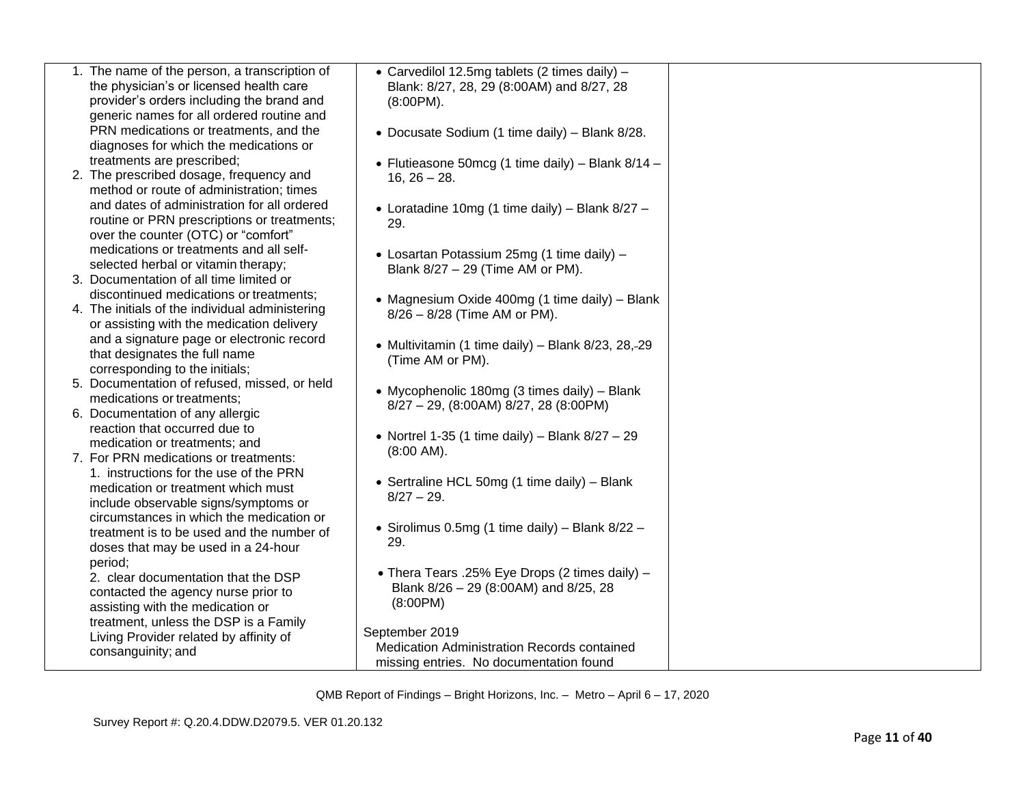| 1. The name of the person, a transcription of   | • Carvedilol 12.5mg tablets (2 times daily) -       |
|-------------------------------------------------|-----------------------------------------------------|
| the physician's or licensed health care         | Blank: 8/27, 28, 29 (8:00AM) and 8/27, 28           |
| provider's orders including the brand and       | $(8:00PM)$ .                                        |
| generic names for all ordered routine and       |                                                     |
| PRN medications or treatments, and the          | • Docusate Sodium (1 time daily) - Blank 8/28.      |
| diagnoses for which the medications or          |                                                     |
| treatments are prescribed;                      | • Flutieasone 50mcg (1 time daily) - Blank $8/14$ - |
| 2. The prescribed dosage, frequency and         | $16, 26 - 28.$                                      |
| method or route of administration; times        |                                                     |
| and dates of administration for all ordered     | • Loratadine 10mg (1 time daily) - Blank 8/27 -     |
| routine or PRN prescriptions or treatments;     | 29.                                                 |
| over the counter (OTC) or "comfort"             |                                                     |
| medications or treatments and all self-         | • Losartan Potassium 25mg (1 time daily) -          |
| selected herbal or vitamin therapy;             | Blank 8/27 - 29 (Time AM or PM).                    |
| 3. Documentation of all time limited or         |                                                     |
| discontinued medications or treatments;         | • Magnesium Oxide 400mg (1 time daily) - Blank      |
| 4. The initials of the individual administering | 8/26 - 8/28 (Time AM or PM).                        |
| or assisting with the medication delivery       |                                                     |
| and a signature page or electronic record       | • Multivitamin (1 time daily) - Blank 8/23, 28, 29  |
| that designates the full name                   | (Time AM or PM).                                    |
| corresponding to the initials;                  |                                                     |
| 5. Documentation of refused, missed, or held    |                                                     |
| medications or treatments;                      | • Mycophenolic 180mg (3 times daily) - Blank        |
| 6. Documentation of any allergic                | 8/27 - 29, (8:00AM) 8/27, 28 (8:00PM)               |
| reaction that occurred due to                   |                                                     |
| medication or treatments; and                   | • Nortrel 1-35 (1 time daily) – Blank $8/27 - 29$   |
| 7. For PRN medications or treatments:           | $(8:00$ AM $)$ .                                    |
| 1. instructions for the use of the PRN          |                                                     |
| medication or treatment which must              | • Sertraline HCL 50mg (1 time daily) - Blank        |
| include observable signs/symptoms or            | $8/27 - 29$ .                                       |
| circumstances in which the medication or        |                                                     |
| treatment is to be used and the number of       | • Sirolimus 0.5mg (1 time daily) - Blank 8/22 -     |
| doses that may be used in a 24-hour             | 29.                                                 |
| period;                                         |                                                     |
| 2. clear documentation that the DSP             | • Thera Tears .25% Eye Drops (2 times daily) -      |
| contacted the agency nurse prior to             | Blank 8/26 - 29 (8:00AM) and 8/25, 28               |
| assisting with the medication or                | (8:00PM)                                            |
| treatment, unless the DSP is a Family           |                                                     |
| Living Provider related by affinity of          | September 2019                                      |
| consanguinity; and                              | Medication Administration Records contained         |
|                                                 | missing entries. No documentation found             |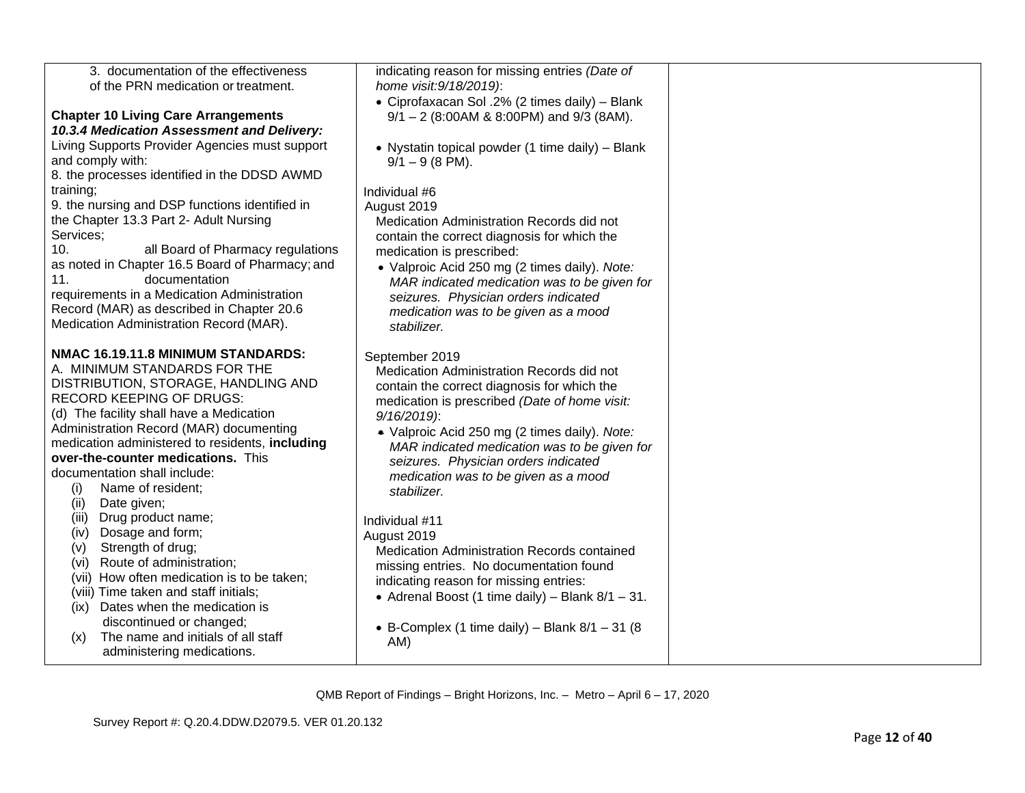| 3. documentation of the effectiveness<br>of the PRN medication or treatment.                                                                                                                                                                                                                                                                                                                                    | indicating reason for missing entries (Date of<br>home visit: 9/18/2019):<br>• Ciprofaxacan Sol .2% (2 times daily) - Blank                                                                                                                                                                                                                                                |  |
|-----------------------------------------------------------------------------------------------------------------------------------------------------------------------------------------------------------------------------------------------------------------------------------------------------------------------------------------------------------------------------------------------------------------|----------------------------------------------------------------------------------------------------------------------------------------------------------------------------------------------------------------------------------------------------------------------------------------------------------------------------------------------------------------------------|--|
| <b>Chapter 10 Living Care Arrangements</b><br>10.3.4 Medication Assessment and Delivery:<br>Living Supports Provider Agencies must support<br>and comply with:<br>8. the processes identified in the DDSD AWMD<br>training;<br>9. the nursing and DSP functions identified in                                                                                                                                   | $9/1 - 2$ (8:00AM & 8:00PM) and 9/3 (8AM).<br>• Nystatin topical powder (1 time daily) - Blank<br>$9/1 - 9$ (8 PM).<br>Individual #6<br>August 2019                                                                                                                                                                                                                        |  |
| the Chapter 13.3 Part 2- Adult Nursing<br>Services;<br>10.<br>all Board of Pharmacy regulations<br>as noted in Chapter 16.5 Board of Pharmacy; and<br>11.<br>documentation<br>requirements in a Medication Administration<br>Record (MAR) as described in Chapter 20.6<br>Medication Administration Record (MAR).                                                                                               | Medication Administration Records did not<br>contain the correct diagnosis for which the<br>medication is prescribed:<br>• Valproic Acid 250 mg (2 times daily). Note:<br>MAR indicated medication was to be given for<br>seizures. Physician orders indicated<br>medication was to be given as a mood<br>stabilizer.                                                      |  |
| NMAC 16.19.11.8 MINIMUM STANDARDS:<br>A. MINIMUM STANDARDS FOR THE<br>DISTRIBUTION, STORAGE, HANDLING AND<br><b>RECORD KEEPING OF DRUGS:</b><br>(d) The facility shall have a Medication<br>Administration Record (MAR) documenting<br>medication administered to residents, including<br>over-the-counter medications. This<br>documentation shall include:<br>Name of resident;<br>(i)<br>(ii)<br>Date given; | September 2019<br>Medication Administration Records did not<br>contain the correct diagnosis for which the<br>medication is prescribed (Date of home visit:<br>9/16/2019):<br>• Valproic Acid 250 mg (2 times daily). Note:<br>MAR indicated medication was to be given for<br>seizures. Physician orders indicated<br>medication was to be given as a mood<br>stabilizer. |  |
| Drug product name;<br>(iii)<br>Dosage and form;<br>(iv)<br>Strength of drug;<br>(v)<br>Route of administration;<br>(vi)<br>(vii) How often medication is to be taken;<br>(viii) Time taken and staff initials;<br>Dates when the medication is<br>(ix)<br>discontinued or changed;<br>The name and initials of all staff<br>(x)<br>administering medications.                                                   | Individual #11<br>August 2019<br><b>Medication Administration Records contained</b><br>missing entries. No documentation found<br>indicating reason for missing entries:<br>• Adrenal Boost (1 time daily) – Blank $8/1 - 31$ .<br>• B-Complex (1 time daily) – Blank $8/1 - 31$ (8<br>AM)                                                                                 |  |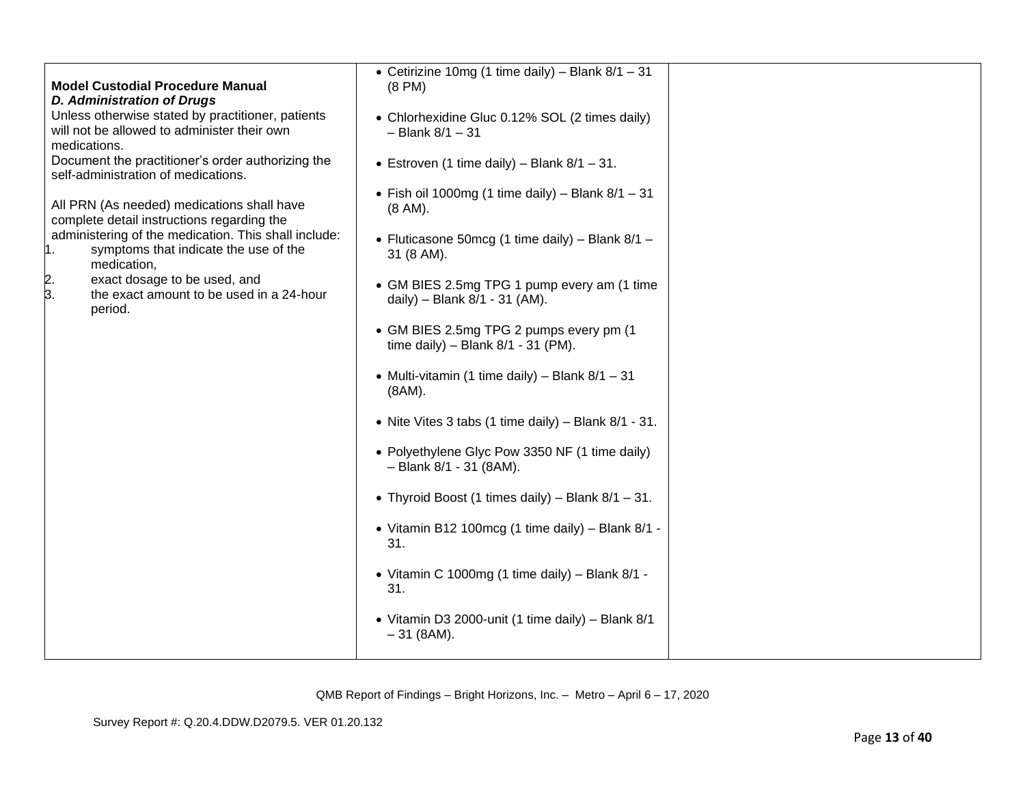|                                                      | • Cetirizine 10mg (1 time daily) – Blank $8/1 - 31$    |  |
|------------------------------------------------------|--------------------------------------------------------|--|
| <b>Model Custodial Procedure Manual</b>              | $(8 \text{ PM})$                                       |  |
| <b>D. Administration of Drugs</b>                    |                                                        |  |
| Unless otherwise stated by practitioner, patients    |                                                        |  |
| will not be allowed to administer their own          | • Chlorhexidine Gluc 0.12% SOL (2 times daily)         |  |
|                                                      | $-$ Blank $8/1 - 31$                                   |  |
| medications.                                         |                                                        |  |
| Document the practitioner's order authorizing the    | • Estroven (1 time daily) – Blank $8/1 - 31$ .         |  |
| self-administration of medications.                  |                                                        |  |
|                                                      | • Fish oil 1000mg (1 time daily) – Blank $8/1 - 31$    |  |
| All PRN (As needed) medications shall have           | $(8 \text{ AM})$ .                                     |  |
| complete detail instructions regarding the           |                                                        |  |
| administering of the medication. This shall include: | • Fluticasone 50mcg (1 time daily) – Blank $8/1$ –     |  |
| symptoms that indicate the use of the<br>l1.         | 31 (8 AM).                                             |  |
| medication,                                          |                                                        |  |
| exact dosage to be used, and<br>2.                   | • GM BIES 2.5mg TPG 1 pump every am (1 time            |  |
| 3.<br>the exact amount to be used in a 24-hour       | daily) - Blank 8/1 - 31 (AM).                          |  |
| period.                                              |                                                        |  |
|                                                      |                                                        |  |
|                                                      | • GM BIES 2.5mg TPG 2 pumps every pm (1                |  |
|                                                      | time daily) - Blank $8/1 - 31$ (PM).                   |  |
|                                                      |                                                        |  |
|                                                      | • Multi-vitamin (1 time daily) – Blank $8/1 - 31$      |  |
|                                                      | $(8AM)$ .                                              |  |
|                                                      |                                                        |  |
|                                                      | • Nite Vites 3 tabs (1 time daily) $-$ Blank 8/1 - 31. |  |
|                                                      |                                                        |  |
|                                                      | • Polyethylene Glyc Pow 3350 NF (1 time daily)         |  |
|                                                      | - Blank 8/1 - 31 (8AM).                                |  |
|                                                      |                                                        |  |
|                                                      | • Thyroid Boost (1 times daily) – Blank $8/1 - 31$ .   |  |
|                                                      |                                                        |  |
|                                                      | • Vitamin B12 100mcg (1 time daily) - Blank 8/1 -      |  |
|                                                      | 31.                                                    |  |
|                                                      |                                                        |  |
|                                                      |                                                        |  |
|                                                      | • Vitamin C 1000mg (1 time daily) - Blank 8/1 -        |  |
|                                                      | 31.                                                    |  |
|                                                      |                                                        |  |
|                                                      | • Vitamin D3 2000-unit (1 time daily) - Blank 8/1      |  |
|                                                      | $-31$ (8AM).                                           |  |
|                                                      |                                                        |  |
|                                                      |                                                        |  |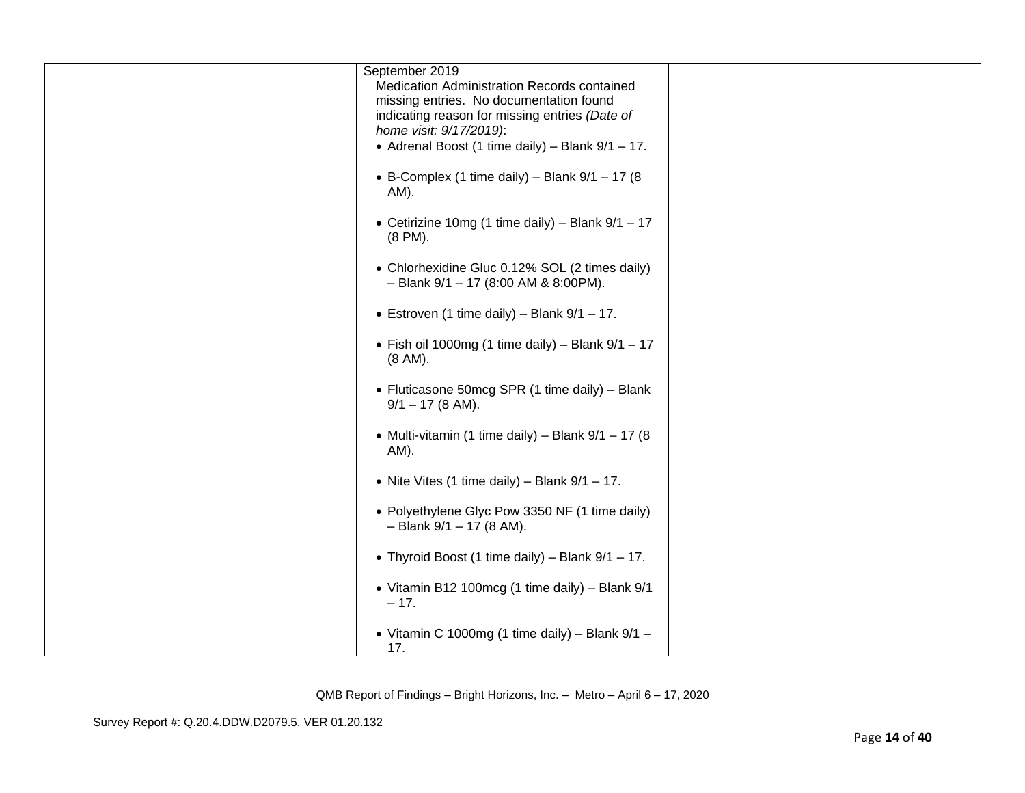| September 2019<br>Medication Administration Records contained<br>missing entries. No documentation found<br>indicating reason for missing entries (Date of<br>home visit: 9/17/2019):<br>• Adrenal Boost (1 time daily) – Blank $9/1 - 17$ . |  |
|----------------------------------------------------------------------------------------------------------------------------------------------------------------------------------------------------------------------------------------------|--|
| • B-Complex (1 time daily) – Blank $9/1 - 17$ (8<br>AM).                                                                                                                                                                                     |  |
| • Cetirizine 10mg (1 time daily) – Blank $9/1 - 17$<br>(8 PM).                                                                                                                                                                               |  |
| • Chlorhexidine Gluc 0.12% SOL (2 times daily)<br>$-$ Blank 9/1 $-$ 17 (8:00 AM & 8:00PM).                                                                                                                                                   |  |
| • Estroven (1 time daily) – Blank $9/1 - 17$ .                                                                                                                                                                                               |  |
| • Fish oil 1000mg (1 time daily) - Blank $9/1 - 17$<br>(8 AM).                                                                                                                                                                               |  |
| • Fluticasone 50mcg SPR (1 time daily) - Blank<br>$9/1 - 17$ (8 AM).                                                                                                                                                                         |  |
| • Multi-vitamin (1 time daily) – Blank $9/1 - 17$ (8<br>AM).                                                                                                                                                                                 |  |
| • Nite Vites (1 time daily) – Blank $9/1 - 17$ .                                                                                                                                                                                             |  |
| • Polyethylene Glyc Pow 3350 NF (1 time daily)<br>$-$ Blank 9/1 $-$ 17 (8 AM).                                                                                                                                                               |  |
| • Thyroid Boost (1 time daily) – Blank $9/1 - 17$ .                                                                                                                                                                                          |  |
| • Vitamin B12 100mcg (1 time daily) - Blank 9/1<br>$-17.$                                                                                                                                                                                    |  |
| • Vitamin C 1000mg (1 time daily) - Blank $9/1$ -<br>17.                                                                                                                                                                                     |  |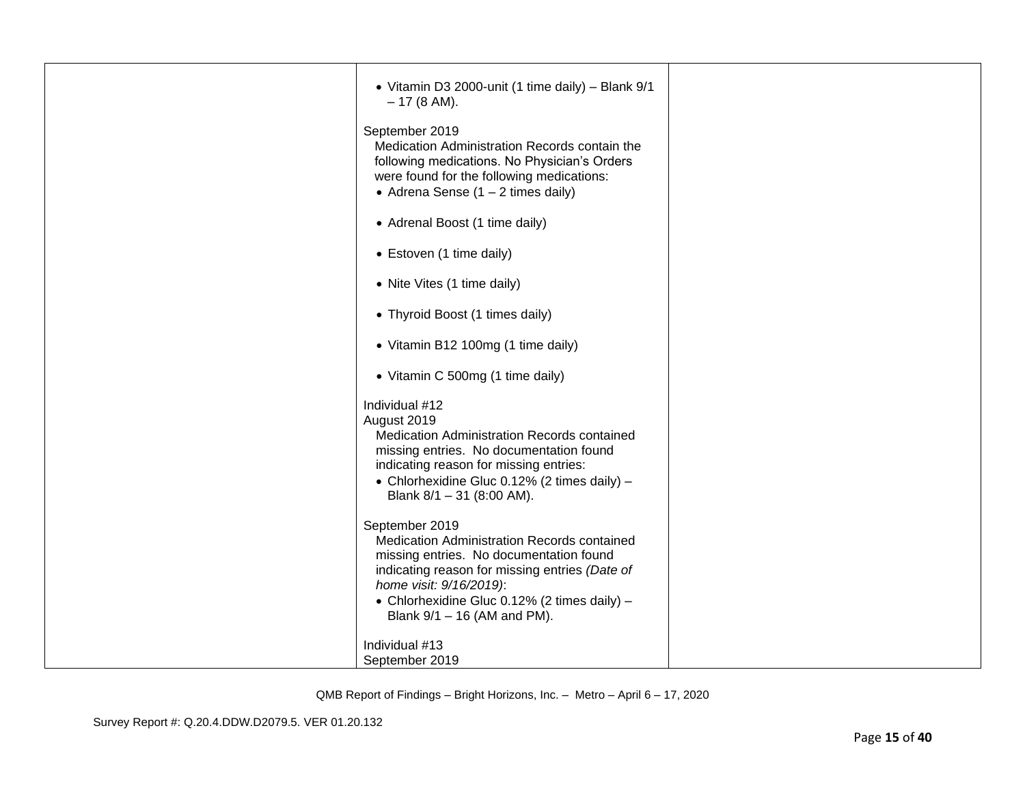| • Vitamin D3 2000-unit (1 time daily) - Blank 9/1<br>$-17(8 AM).$                                                                                                                                                                                                    |  |
|----------------------------------------------------------------------------------------------------------------------------------------------------------------------------------------------------------------------------------------------------------------------|--|
| September 2019<br>Medication Administration Records contain the<br>following medications. No Physician's Orders<br>were found for the following medications:<br>• Adrena Sense $(1 – 2$ times daily)                                                                 |  |
| • Adrenal Boost (1 time daily)                                                                                                                                                                                                                                       |  |
| • Estoven (1 time daily)                                                                                                                                                                                                                                             |  |
| • Nite Vites (1 time daily)                                                                                                                                                                                                                                          |  |
| • Thyroid Boost (1 times daily)                                                                                                                                                                                                                                      |  |
| • Vitamin B12 100mg (1 time daily)                                                                                                                                                                                                                                   |  |
| • Vitamin C 500mg (1 time daily)                                                                                                                                                                                                                                     |  |
| Individual #12<br>August 2019<br>Medication Administration Records contained<br>missing entries. No documentation found<br>indicating reason for missing entries:<br>• Chlorhexidine Gluc 0.12% (2 times daily) -<br>Blank $8/1 - 31$ (8:00 AM).                     |  |
| September 2019<br>Medication Administration Records contained<br>missing entries. No documentation found<br>indicating reason for missing entries (Date of<br>home visit: 9/16/2019):<br>• Chlorhexidine Gluc 0.12% (2 times daily) -<br>Blank 9/1 - 16 (AM and PM). |  |
| Individual #13<br>September 2019                                                                                                                                                                                                                                     |  |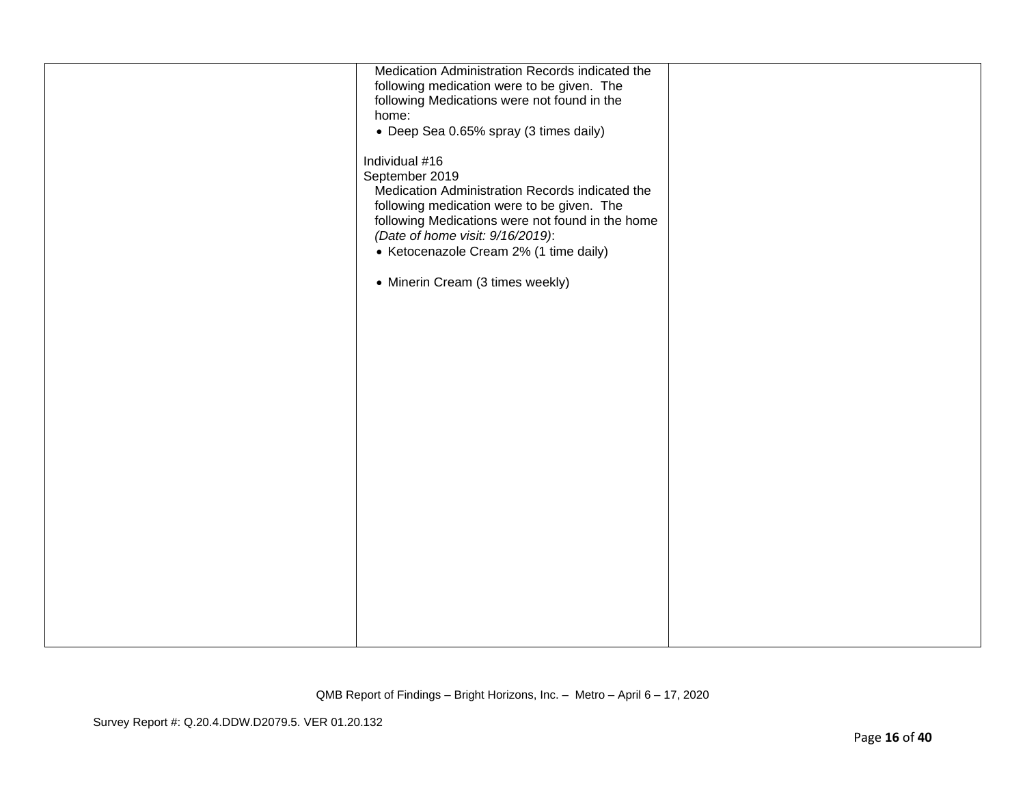| Medication Administration Records indicated the<br>following medication were to be given. The<br>following Medications were not found in the<br>home:<br>• Deep Sea 0.65% spray (3 times daily)<br>Individual #16<br>September 2019<br>Medication Administration Records indicated the<br>following medication were to be given. The<br>following Medications were not found in the home<br>(Date of home visit: 9/16/2019):<br>• Ketocenazole Cream 2% (1 time daily)<br>• Minerin Cream (3 times weekly) |  |
|------------------------------------------------------------------------------------------------------------------------------------------------------------------------------------------------------------------------------------------------------------------------------------------------------------------------------------------------------------------------------------------------------------------------------------------------------------------------------------------------------------|--|
|                                                                                                                                                                                                                                                                                                                                                                                                                                                                                                            |  |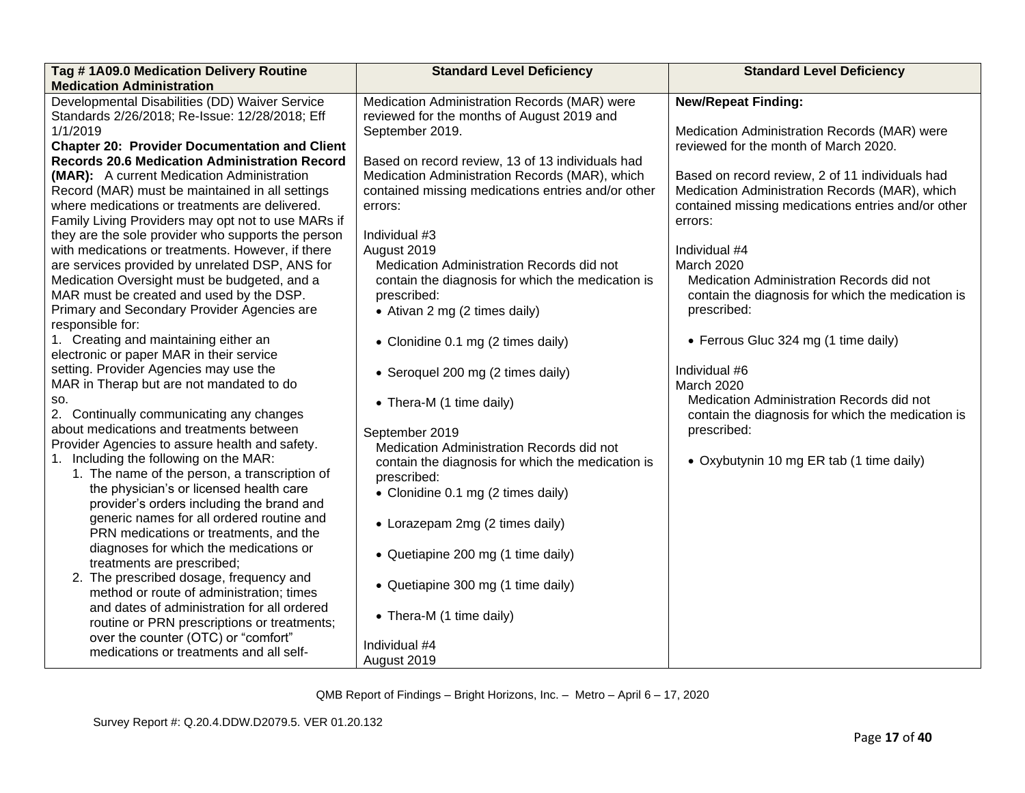| Tag #1A09.0 Medication Delivery Routine<br><b>Medication Administration</b>                          | <b>Standard Level Deficiency</b>                              | <b>Standard Level Deficiency</b>                                 |
|------------------------------------------------------------------------------------------------------|---------------------------------------------------------------|------------------------------------------------------------------|
| Developmental Disabilities (DD) Waiver Service                                                       | Medication Administration Records (MAR) were                  | <b>New/Repeat Finding:</b>                                       |
| Standards 2/26/2018; Re-Issue: 12/28/2018; Eff<br>1/1/2019                                           | reviewed for the months of August 2019 and<br>September 2019. | Medication Administration Records (MAR) were                     |
| <b>Chapter 20: Provider Documentation and Client</b>                                                 |                                                               | reviewed for the month of March 2020.                            |
| <b>Records 20.6 Medication Administration Record</b>                                                 | Based on record review, 13 of 13 individuals had              |                                                                  |
| (MAR): A current Medication Administration                                                           | Medication Administration Records (MAR), which                | Based on record review, 2 of 11 individuals had                  |
| Record (MAR) must be maintained in all settings                                                      | contained missing medications entries and/or other            | Medication Administration Records (MAR), which                   |
| where medications or treatments are delivered.<br>Family Living Providers may opt not to use MARs if | errors:                                                       | contained missing medications entries and/or other<br>errors:    |
| they are the sole provider who supports the person                                                   | Individual #3                                                 |                                                                  |
| with medications or treatments. However, if there                                                    | August 2019                                                   | Individual #4                                                    |
| are services provided by unrelated DSP, ANS for                                                      | Medication Administration Records did not                     | March 2020                                                       |
| Medication Oversight must be budgeted, and a                                                         | contain the diagnosis for which the medication is             | Medication Administration Records did not                        |
| MAR must be created and used by the DSP.                                                             | prescribed:                                                   | contain the diagnosis for which the medication is                |
| Primary and Secondary Provider Agencies are<br>responsible for:                                      | • Ativan 2 mg (2 times daily)                                 | prescribed:                                                      |
| 1. Creating and maintaining either an                                                                | • Clonidine 0.1 mg (2 times daily)                            | • Ferrous Gluc 324 mg (1 time daily)                             |
| electronic or paper MAR in their service                                                             |                                                               |                                                                  |
| setting. Provider Agencies may use the                                                               | • Seroquel 200 mg (2 times daily)                             | Individual #6                                                    |
| MAR in Therap but are not mandated to do                                                             |                                                               | March 2020                                                       |
| SO.<br>2. Continually communicating any changes                                                      | • Thera-M (1 time daily)                                      | Medication Administration Records did not                        |
| about medications and treatments between                                                             | September 2019                                                | contain the diagnosis for which the medication is<br>prescribed: |
| Provider Agencies to assure health and safety.                                                       | Medication Administration Records did not                     |                                                                  |
| 1. Including the following on the MAR:                                                               | contain the diagnosis for which the medication is             | • Oxybutynin 10 mg ER tab (1 time daily)                         |
| 1. The name of the person, a transcription of                                                        | prescribed:                                                   |                                                                  |
| the physician's or licensed health care                                                              | • Clonidine 0.1 mg (2 times daily)                            |                                                                  |
| provider's orders including the brand and<br>generic names for all ordered routine and               |                                                               |                                                                  |
| PRN medications or treatments, and the                                                               | • Lorazepam 2mg (2 times daily)                               |                                                                  |
| diagnoses for which the medications or                                                               |                                                               |                                                                  |
| treatments are prescribed;                                                                           | • Quetiapine 200 mg (1 time daily)                            |                                                                  |
| 2. The prescribed dosage, frequency and                                                              | • Quetiapine 300 mg (1 time daily)                            |                                                                  |
| method or route of administration; times                                                             |                                                               |                                                                  |
| and dates of administration for all ordered<br>routine or PRN prescriptions or treatments;           | • Thera-M (1 time daily)                                      |                                                                  |
| over the counter (OTC) or "comfort"                                                                  |                                                               |                                                                  |
| medications or treatments and all self-                                                              | Individual #4                                                 |                                                                  |
|                                                                                                      | August 2019                                                   |                                                                  |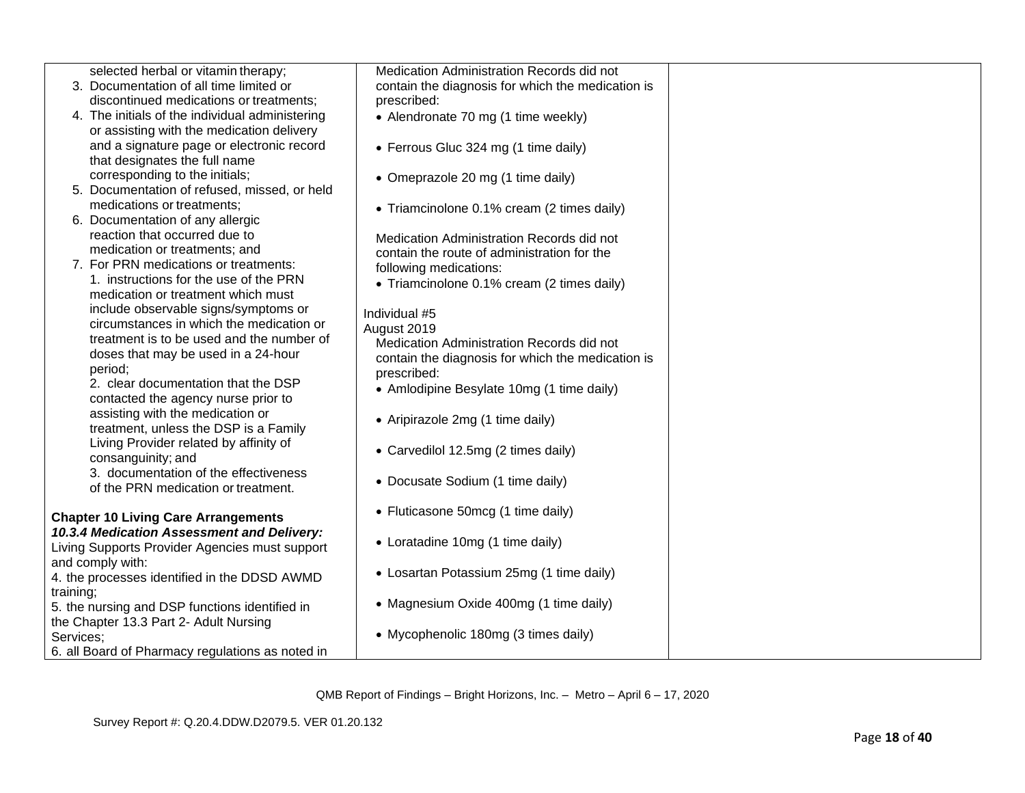| selected herbal or vitamin therapy;              | Medication Administration Records did not         |  |
|--------------------------------------------------|---------------------------------------------------|--|
| 3. Documentation of all time limited or          | contain the diagnosis for which the medication is |  |
| discontinued medications or treatments;          | prescribed:                                       |  |
| 4. The initials of the individual administering  | • Alendronate 70 mg (1 time weekly)               |  |
| or assisting with the medication delivery        |                                                   |  |
| and a signature page or electronic record        | • Ferrous Gluc 324 mg (1 time daily)              |  |
| that designates the full name                    |                                                   |  |
| corresponding to the initials;                   | • Omeprazole 20 mg (1 time daily)                 |  |
| 5. Documentation of refused, missed, or held     |                                                   |  |
| medications or treatments;                       | • Triamcinolone 0.1% cream (2 times daily)        |  |
| 6. Documentation of any allergic                 |                                                   |  |
| reaction that occurred due to                    | Medication Administration Records did not         |  |
| medication or treatments; and                    | contain the route of administration for the       |  |
| 7. For PRN medications or treatments:            | following medications:                            |  |
| 1. instructions for the use of the PRN           |                                                   |  |
| medication or treatment which must               | • Triamcinolone 0.1% cream (2 times daily)        |  |
| include observable signs/symptoms or             |                                                   |  |
| circumstances in which the medication or         | Individual #5                                     |  |
| treatment is to be used and the number of        | August 2019                                       |  |
| doses that may be used in a 24-hour              | Medication Administration Records did not         |  |
| period:                                          | contain the diagnosis for which the medication is |  |
| 2. clear documentation that the DSP              | prescribed:                                       |  |
| contacted the agency nurse prior to              | • Amlodipine Besylate 10mg (1 time daily)         |  |
| assisting with the medication or                 |                                                   |  |
| treatment, unless the DSP is a Family            | • Aripirazole 2mg (1 time daily)                  |  |
| Living Provider related by affinity of           |                                                   |  |
| consanguinity; and                               | • Carvedilol 12.5mg (2 times daily)               |  |
| 3. documentation of the effectiveness            |                                                   |  |
| of the PRN medication or treatment.              | • Docusate Sodium (1 time daily)                  |  |
|                                                  |                                                   |  |
| <b>Chapter 10 Living Care Arrangements</b>       | • Fluticasone 50mcg (1 time daily)                |  |
| 10.3.4 Medication Assessment and Delivery:       |                                                   |  |
| Living Supports Provider Agencies must support   | • Loratadine 10mg (1 time daily)                  |  |
|                                                  |                                                   |  |
| and comply with:                                 | • Losartan Potassium 25mg (1 time daily)          |  |
| 4. the processes identified in the DDSD AWMD     |                                                   |  |
| training;                                        | • Magnesium Oxide 400mg (1 time daily)            |  |
| 5. the nursing and DSP functions identified in   |                                                   |  |
| the Chapter 13.3 Part 2- Adult Nursing           | • Mycophenolic 180mg (3 times daily)              |  |
| Services;                                        |                                                   |  |
| 6. all Board of Pharmacy regulations as noted in |                                                   |  |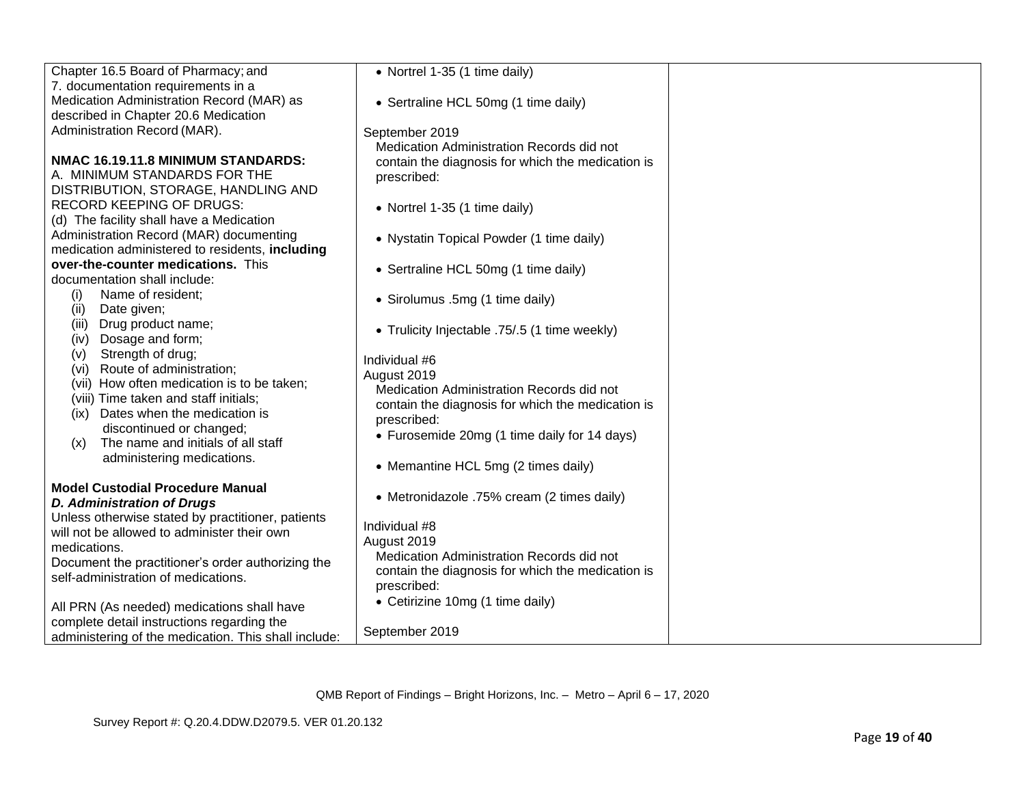| Chapter 16.5 Board of Pharmacy; and                  | • Nortrel 1-35 (1 time daily)                     |  |
|------------------------------------------------------|---------------------------------------------------|--|
| 7. documentation requirements in a                   |                                                   |  |
| Medication Administration Record (MAR) as            | • Sertraline HCL 50mg (1 time daily)              |  |
| described in Chapter 20.6 Medication                 |                                                   |  |
| Administration Record (MAR).                         | September 2019                                    |  |
|                                                      | Medication Administration Records did not         |  |
| NMAC 16.19.11.8 MINIMUM STANDARDS:                   | contain the diagnosis for which the medication is |  |
| A. MINIMUM STANDARDS FOR THE                         | prescribed:                                       |  |
| DISTRIBUTION, STORAGE, HANDLING AND                  |                                                   |  |
| <b>RECORD KEEPING OF DRUGS:</b>                      | • Nortrel 1-35 (1 time daily)                     |  |
| (d) The facility shall have a Medication             |                                                   |  |
| Administration Record (MAR) documenting              | • Nystatin Topical Powder (1 time daily)          |  |
| medication administered to residents, including      |                                                   |  |
| over-the-counter medications. This                   | • Sertraline HCL 50mg (1 time daily)              |  |
| documentation shall include:                         |                                                   |  |
| Name of resident;<br>(i)                             | • Sirolumus .5mg (1 time daily)                   |  |
| (ii)<br>Date given;                                  |                                                   |  |
| Drug product name;<br>(iii)                          | • Trulicity Injectable .75/.5 (1 time weekly)     |  |
| Dosage and form;<br>(iv)                             |                                                   |  |
| Strength of drug;<br>(v)                             | Individual #6                                     |  |
| Route of administration;<br>(vi)                     | August 2019                                       |  |
| (vii) How often medication is to be taken;           | Medication Administration Records did not         |  |
| (viii) Time taken and staff initials;                | contain the diagnosis for which the medication is |  |
| (ix) Dates when the medication is                    | prescribed:                                       |  |
| discontinued or changed;                             | • Furosemide 20mg (1 time daily for 14 days)      |  |
| The name and initials of all staff<br>(x)            |                                                   |  |
| administering medications.                           | • Memantine HCL 5mg (2 times daily)               |  |
|                                                      |                                                   |  |
| <b>Model Custodial Procedure Manual</b>              | • Metronidazole .75% cream (2 times daily)        |  |
| <b>D. Administration of Drugs</b>                    |                                                   |  |
| Unless otherwise stated by practitioner, patients    | Individual #8                                     |  |
| will not be allowed to administer their own          | August 2019                                       |  |
| medications.                                         | Medication Administration Records did not         |  |
| Document the practitioner's order authorizing the    | contain the diagnosis for which the medication is |  |
| self-administration of medications.                  | prescribed:                                       |  |
|                                                      | • Cetirizine 10mg (1 time daily)                  |  |
| All PRN (As needed) medications shall have           |                                                   |  |
| complete detail instructions regarding the           | September 2019                                    |  |
| administering of the medication. This shall include: |                                                   |  |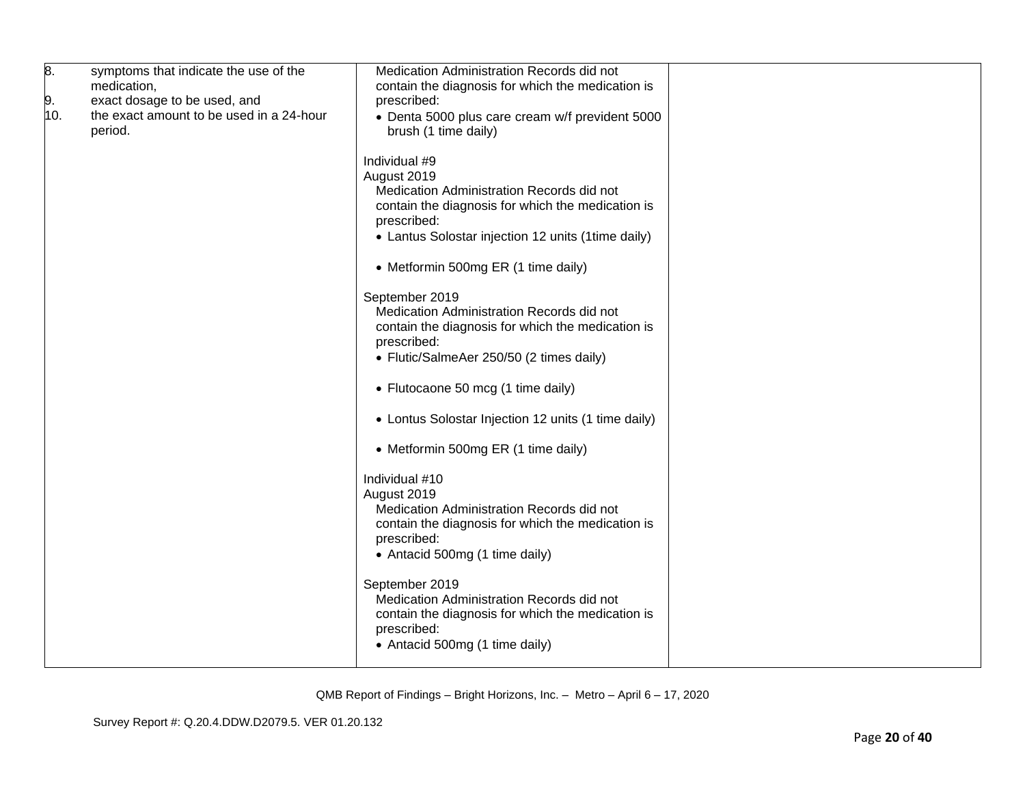| 8.<br>9.<br>10. | symptoms that indicate the use of the<br>medication,<br>exact dosage to be used, and<br>the exact amount to be used in a 24-hour<br>period. | Medication Administration Records did not<br>contain the diagnosis for which the medication is<br>prescribed:<br>• Denta 5000 plus care cream w/f prevident 5000<br>brush (1 time daily)            |  |
|-----------------|---------------------------------------------------------------------------------------------------------------------------------------------|-----------------------------------------------------------------------------------------------------------------------------------------------------------------------------------------------------|--|
|                 |                                                                                                                                             | Individual #9<br>August 2019<br>Medication Administration Records did not<br>contain the diagnosis for which the medication is<br>prescribed:<br>• Lantus Solostar injection 12 units (1time daily) |  |
|                 |                                                                                                                                             | • Metformin 500mg ER (1 time daily)                                                                                                                                                                 |  |
|                 |                                                                                                                                             | September 2019<br>Medication Administration Records did not<br>contain the diagnosis for which the medication is<br>prescribed:<br>• Flutic/SalmeAer 250/50 (2 times daily)                         |  |
|                 |                                                                                                                                             | • Flutocaone 50 mcg (1 time daily)                                                                                                                                                                  |  |
|                 |                                                                                                                                             | • Lontus Solostar Injection 12 units (1 time daily)                                                                                                                                                 |  |
|                 |                                                                                                                                             | • Metformin 500mg ER (1 time daily)                                                                                                                                                                 |  |
|                 |                                                                                                                                             | Individual #10<br>August 2019<br>Medication Administration Records did not<br>contain the diagnosis for which the medication is<br>prescribed:<br>• Antacid 500mg (1 time daily)                    |  |
|                 |                                                                                                                                             | September 2019<br>Medication Administration Records did not<br>contain the diagnosis for which the medication is<br>prescribed:<br>• Antacid 500mg (1 time daily)                                   |  |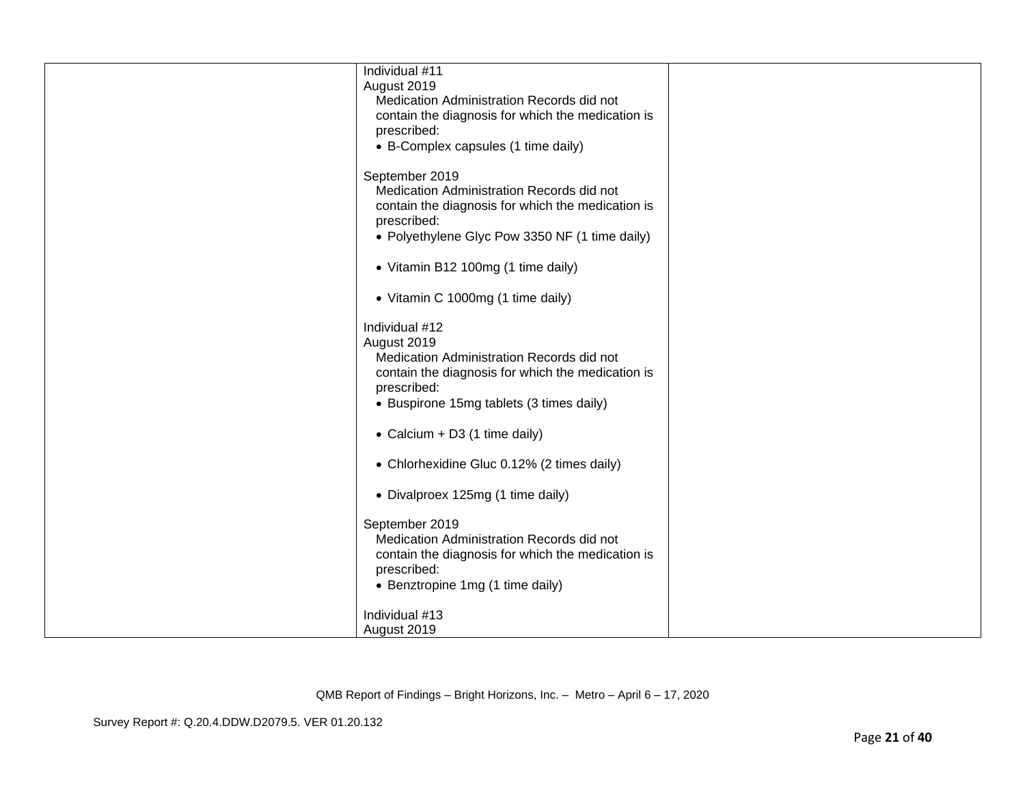| Individual #11<br>August 2019<br>Medication Administration Records did not<br>contain the diagnosis for which the medication is<br>prescribed:<br>• B-Complex capsules (1 time daily)      |  |
|--------------------------------------------------------------------------------------------------------------------------------------------------------------------------------------------|--|
| September 2019<br>Medication Administration Records did not<br>contain the diagnosis for which the medication is<br>prescribed:<br>• Polyethylene Glyc Pow 3350 NF (1 time daily)          |  |
| • Vitamin B12 100mg (1 time daily)                                                                                                                                                         |  |
| • Vitamin C 1000mg (1 time daily)                                                                                                                                                          |  |
| Individual #12<br>August 2019<br>Medication Administration Records did not<br>contain the diagnosis for which the medication is<br>prescribed:<br>• Buspirone 15mg tablets (3 times daily) |  |
| • Calcium + D3 (1 time daily)                                                                                                                                                              |  |
| • Chlorhexidine Gluc 0.12% (2 times daily)                                                                                                                                                 |  |
| • Divalproex 125mg (1 time daily)                                                                                                                                                          |  |
| September 2019<br>Medication Administration Records did not<br>contain the diagnosis for which the medication is<br>prescribed:<br>• Benztropine 1mg (1 time daily)                        |  |
| Individual #13<br>August 2019                                                                                                                                                              |  |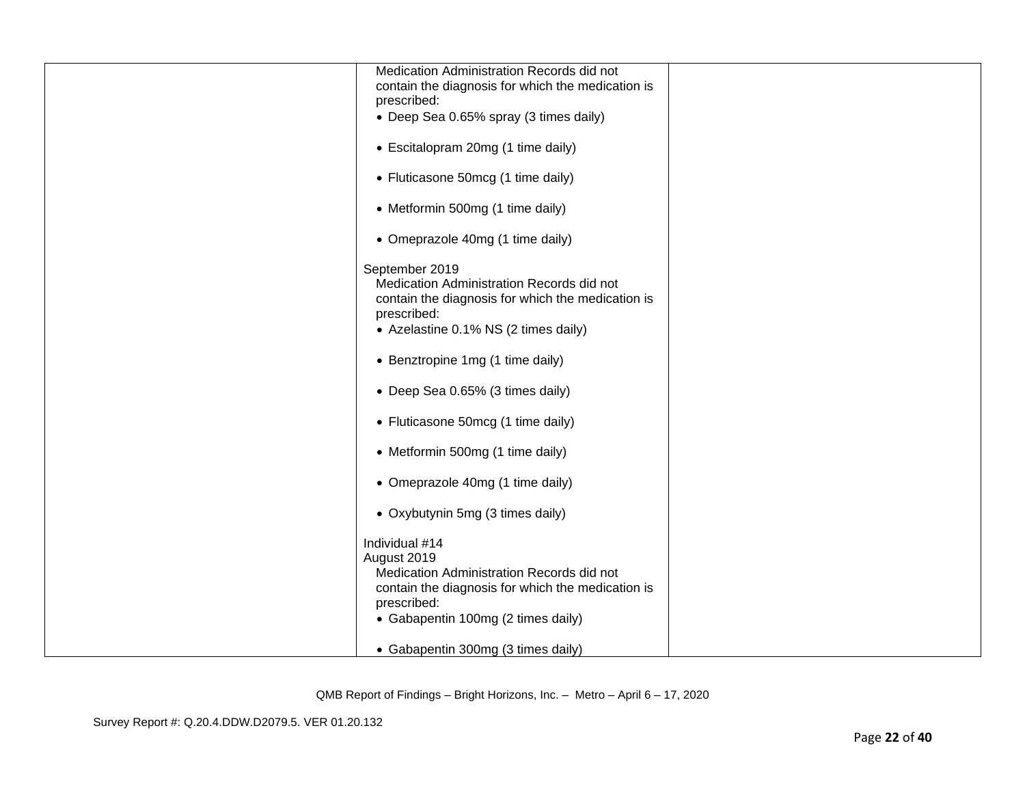| Medication Administration Records did not<br>contain the diagnosis for which the medication is                                                                                       |  |
|--------------------------------------------------------------------------------------------------------------------------------------------------------------------------------------|--|
| prescribed:                                                                                                                                                                          |  |
| • Deep Sea 0.65% spray (3 times daily)                                                                                                                                               |  |
| • Escitalopram 20mg (1 time daily)                                                                                                                                                   |  |
| • Fluticasone 50mcg (1 time daily)                                                                                                                                                   |  |
| • Metformin 500mg (1 time daily)                                                                                                                                                     |  |
| • Omeprazole 40mg (1 time daily)                                                                                                                                                     |  |
| September 2019<br>Medication Administration Records did not<br>contain the diagnosis for which the medication is<br>prescribed:<br>• Azelastine 0.1% NS (2 times daily)              |  |
| • Benztropine 1mg (1 time daily)                                                                                                                                                     |  |
| • Deep Sea 0.65% (3 times daily)                                                                                                                                                     |  |
| • Fluticasone 50mcg (1 time daily)                                                                                                                                                   |  |
| • Metformin 500mg (1 time daily)                                                                                                                                                     |  |
| • Omeprazole 40mg (1 time daily)                                                                                                                                                     |  |
| • Oxybutynin 5mg (3 times daily)                                                                                                                                                     |  |
| Individual #14<br>August 2019<br>Medication Administration Records did not<br>contain the diagnosis for which the medication is<br>prescribed:<br>• Gabapentin 100mg (2 times daily) |  |
| • Gabapentin 300mg (3 times daily)                                                                                                                                                   |  |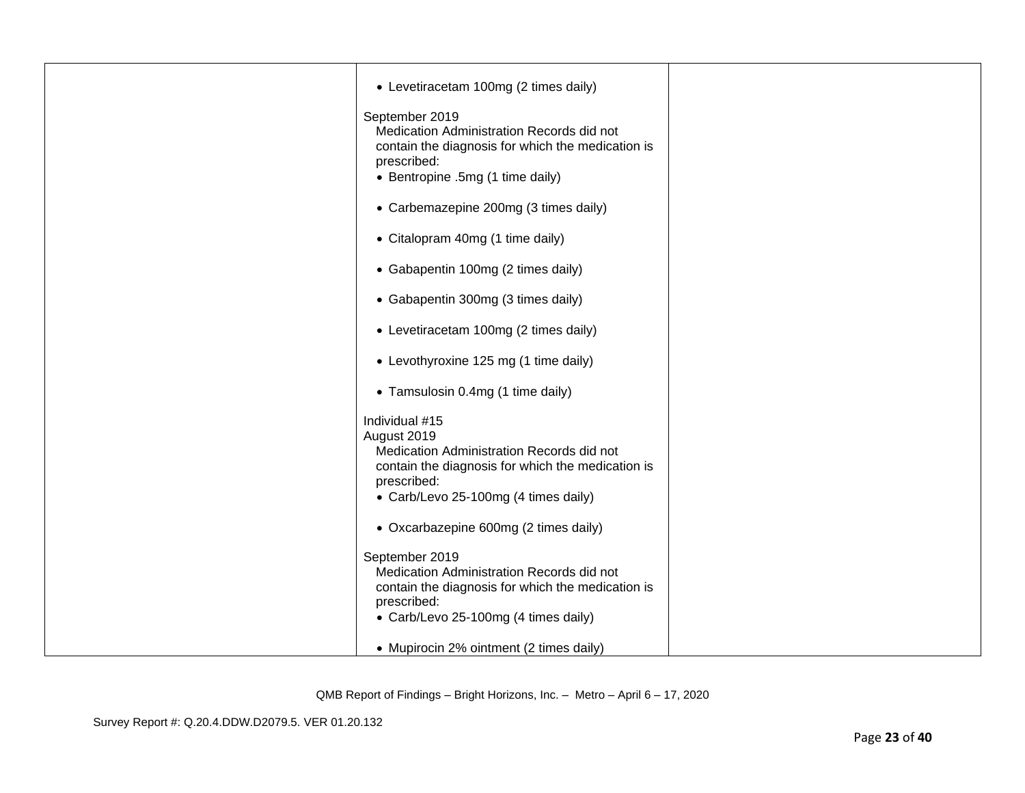| • Levetiracetam 100mg (2 times daily)<br>September 2019<br>Medication Administration Records did not<br>contain the diagnosis for which the medication is<br>prescribed:<br>• Bentropine .5mg (1 time daily) |  |
|--------------------------------------------------------------------------------------------------------------------------------------------------------------------------------------------------------------|--|
| • Carbemazepine 200mg (3 times daily)                                                                                                                                                                        |  |
| • Citalopram 40mg (1 time daily)                                                                                                                                                                             |  |
| • Gabapentin 100mg (2 times daily)                                                                                                                                                                           |  |
| • Gabapentin 300mg (3 times daily)                                                                                                                                                                           |  |
| • Levetiracetam 100mg (2 times daily)                                                                                                                                                                        |  |
| • Levothyroxine 125 mg (1 time daily)                                                                                                                                                                        |  |
| • Tamsulosin 0.4mg (1 time daily)                                                                                                                                                                            |  |
| Individual #15<br>August 2019<br>Medication Administration Records did not<br>contain the diagnosis for which the medication is<br>prescribed:<br>• Carb/Levo 25-100mg (4 times daily)                       |  |
| • Oxcarbazepine 600mg (2 times daily)                                                                                                                                                                        |  |
| September 2019<br>Medication Administration Records did not<br>contain the diagnosis for which the medication is<br>prescribed:<br>• Carb/Levo 25-100mg (4 times daily)                                      |  |
| • Mupirocin 2% ointment (2 times daily)                                                                                                                                                                      |  |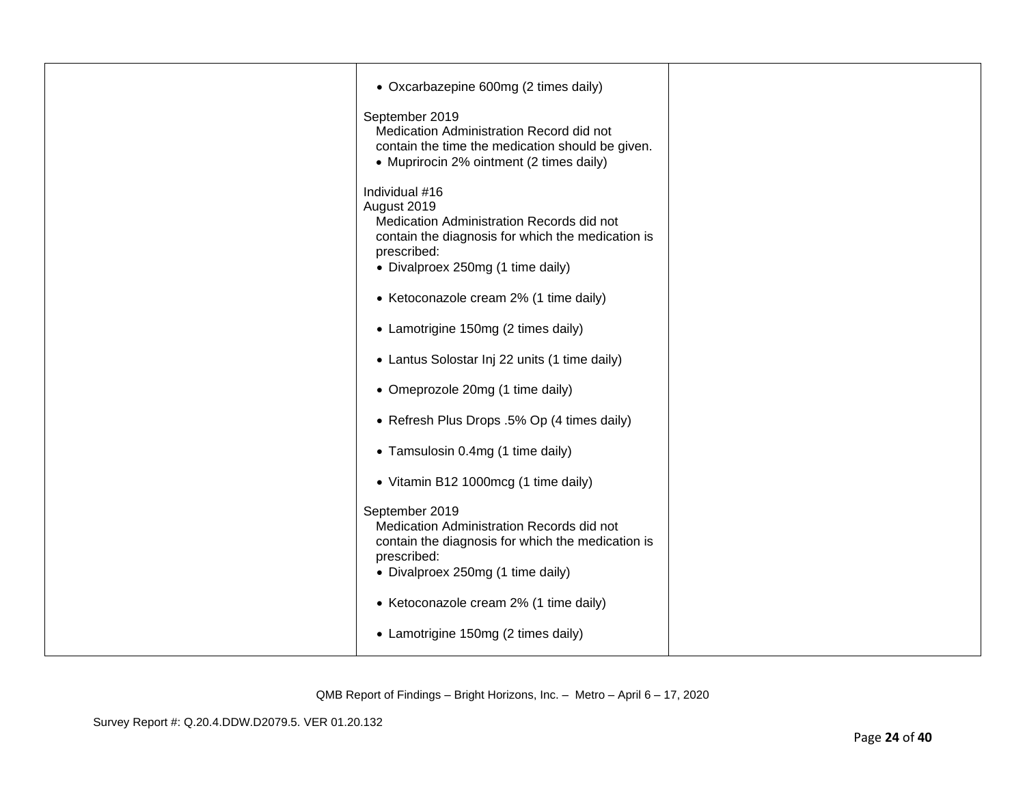| • Oxcarbazepine 600mg (2 times daily)<br>September 2019<br>Medication Administration Record did not<br>contain the time the medication should be given.<br>• Muprirocin 2% ointment (2 times daily) |  |
|-----------------------------------------------------------------------------------------------------------------------------------------------------------------------------------------------------|--|
| Individual #16<br>August 2019<br>Medication Administration Records did not<br>contain the diagnosis for which the medication is<br>prescribed:<br>• Divalproex 250mg (1 time daily)                 |  |
| • Ketoconazole cream 2% (1 time daily)                                                                                                                                                              |  |
| • Lamotrigine 150mg (2 times daily)                                                                                                                                                                 |  |
| • Lantus Solostar Inj 22 units (1 time daily)                                                                                                                                                       |  |
| • Omeprozole 20mg (1 time daily)                                                                                                                                                                    |  |
| • Refresh Plus Drops .5% Op (4 times daily)                                                                                                                                                         |  |
| • Tamsulosin 0.4mg (1 time daily)                                                                                                                                                                   |  |
| • Vitamin B12 1000mcg (1 time daily)                                                                                                                                                                |  |
| September 2019<br>Medication Administration Records did not<br>contain the diagnosis for which the medication is<br>prescribed:<br>• Divalproex 250mg (1 time daily)                                |  |
| • Ketoconazole cream 2% (1 time daily)                                                                                                                                                              |  |
| • Lamotrigine 150mg (2 times daily)                                                                                                                                                                 |  |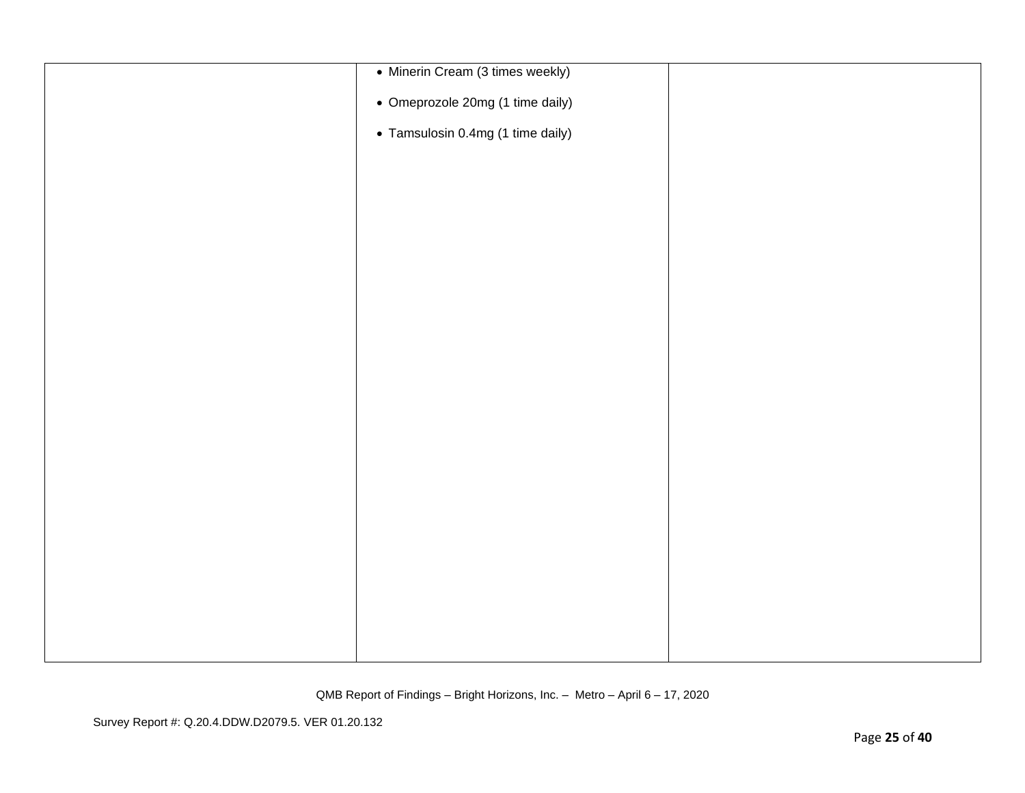| • Minerin Cream (3 times weekly)  |  |
|-----------------------------------|--|
| • Omeprozole 20mg (1 time daily)  |  |
| • Tamsulosin 0.4mg (1 time daily) |  |
|                                   |  |
|                                   |  |
|                                   |  |
|                                   |  |
|                                   |  |
|                                   |  |
|                                   |  |
|                                   |  |
|                                   |  |
|                                   |  |
|                                   |  |
|                                   |  |
|                                   |  |
|                                   |  |
|                                   |  |
|                                   |  |
|                                   |  |
|                                   |  |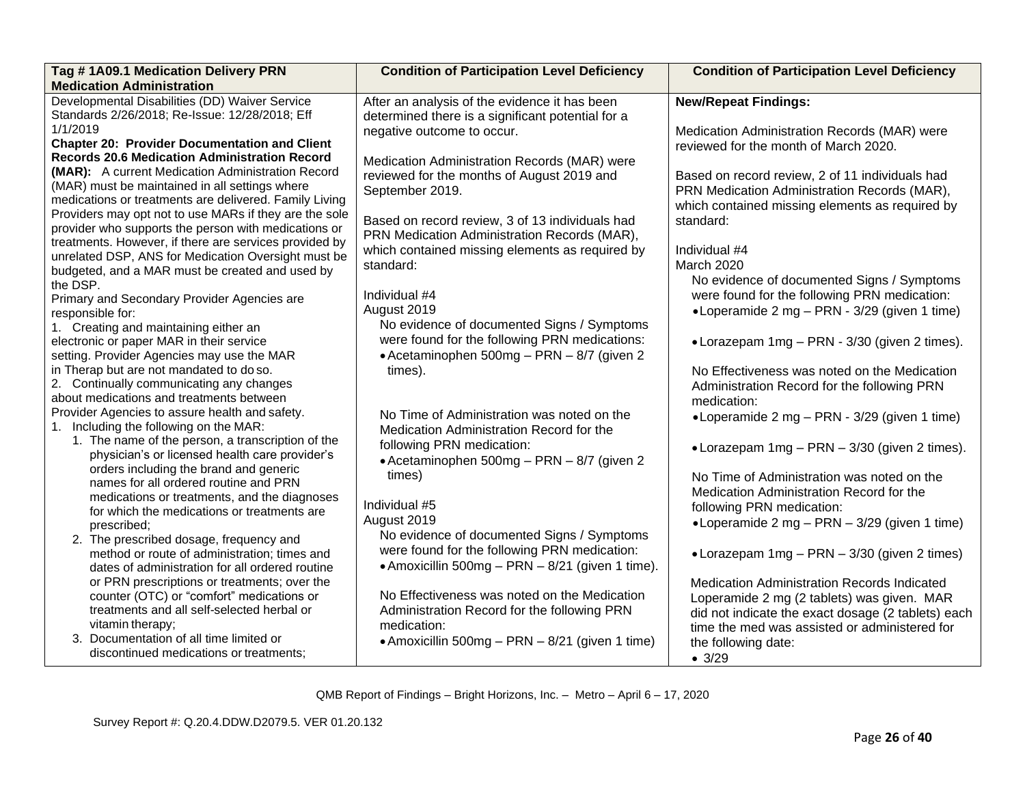| Tag #1A09.1 Medication Delivery PRN                                                                    | <b>Condition of Participation Level Deficiency</b> | <b>Condition of Participation Level Deficiency</b> |
|--------------------------------------------------------------------------------------------------------|----------------------------------------------------|----------------------------------------------------|
| <b>Medication Administration</b>                                                                       |                                                    |                                                    |
| Developmental Disabilities (DD) Waiver Service                                                         | After an analysis of the evidence it has been      | <b>New/Repeat Findings:</b>                        |
| Standards 2/26/2018; Re-Issue: 12/28/2018; Eff                                                         | determined there is a significant potential for a  |                                                    |
| 1/1/2019                                                                                               | negative outcome to occur.                         | Medication Administration Records (MAR) were       |
| <b>Chapter 20: Provider Documentation and Client</b>                                                   |                                                    | reviewed for the month of March 2020.              |
| <b>Records 20.6 Medication Administration Record</b>                                                   | Medication Administration Records (MAR) were       |                                                    |
| (MAR): A current Medication Administration Record                                                      | reviewed for the months of August 2019 and         | Based on record review, 2 of 11 individuals had    |
| (MAR) must be maintained in all settings where                                                         | September 2019.                                    | PRN Medication Administration Records (MAR),       |
| medications or treatments are delivered. Family Living                                                 |                                                    | which contained missing elements as required by    |
| Providers may opt not to use MARs if they are the sole                                                 | Based on record review, 3 of 13 individuals had    | standard:                                          |
| provider who supports the person with medications or                                                   | PRN Medication Administration Records (MAR),       |                                                    |
| treatments. However, if there are services provided by                                                 | which contained missing elements as required by    | Individual #4                                      |
| unrelated DSP, ANS for Medication Oversight must be<br>budgeted, and a MAR must be created and used by | standard:                                          | March 2020                                         |
| the DSP.                                                                                               |                                                    | No evidence of documented Signs / Symptoms         |
| Primary and Secondary Provider Agencies are                                                            | Individual #4                                      | were found for the following PRN medication:       |
| responsible for:                                                                                       | August 2019                                        | •Loperamide 2 mg - PRN - 3/29 (given 1 time)       |
| 1. Creating and maintaining either an                                                                  | No evidence of documented Signs / Symptoms         |                                                    |
| electronic or paper MAR in their service                                                               | were found for the following PRN medications:      | • Lorazepam 1mg - PRN - 3/30 (given 2 times).      |
| setting. Provider Agencies may use the MAR                                                             | • Acetaminophen 500mg - PRN - 8/7 (given 2)        |                                                    |
| in Therap but are not mandated to do so.                                                               | times).                                            | No Effectiveness was noted on the Medication       |
| 2. Continually communicating any changes                                                               |                                                    | Administration Record for the following PRN        |
| about medications and treatments between                                                               |                                                    | medication:                                        |
| Provider Agencies to assure health and safety.                                                         | No Time of Administration was noted on the         | •Loperamide 2 mg – PRN - 3/29 (given 1 time)       |
| 1. Including the following on the MAR:                                                                 | Medication Administration Record for the           |                                                    |
| 1. The name of the person, a transcription of the                                                      | following PRN medication:                          |                                                    |
| physician's or licensed health care provider's                                                         | • Acetaminophen 500mg - PRN - 8/7 (given 2)        | • Lorazepam 1mg - PRN - 3/30 (given 2 times).      |
| orders including the brand and generic                                                                 | times)                                             | No Time of Administration was noted on the         |
| names for all ordered routine and PRN                                                                  |                                                    |                                                    |
| medications or treatments, and the diagnoses                                                           | Individual #5                                      | Medication Administration Record for the           |
| for which the medications or treatments are                                                            | August 2019                                        | following PRN medication:                          |
| prescribed;                                                                                            | No evidence of documented Signs / Symptoms         | •Loperamide 2 mg - PRN - 3/29 (given 1 time)       |
| 2. The prescribed dosage, frequency and                                                                | were found for the following PRN medication:       |                                                    |
| method or route of administration; times and                                                           |                                                    | • Lorazepam $1mg - PRN - 3/30$ (given 2 times)     |
| dates of administration for all ordered routine                                                        | • Amoxicillin 500mg - PRN - 8/21 (given 1 time).   |                                                    |
| or PRN prescriptions or treatments; over the                                                           |                                                    | <b>Medication Administration Records Indicated</b> |
| counter (OTC) or "comfort" medications or                                                              | No Effectiveness was noted on the Medication       | Loperamide 2 mg (2 tablets) was given. MAR         |
| treatments and all self-selected herbal or                                                             | Administration Record for the following PRN        | did not indicate the exact dosage (2 tablets) each |
| vitamin therapy;                                                                                       | medication:                                        | time the med was assisted or administered for      |
| 3. Documentation of all time limited or                                                                | • Amoxicillin 500mg – PRN – 8/21 (given 1 time)    | the following date:                                |
| discontinued medications or treatments;                                                                |                                                    | • 3/29                                             |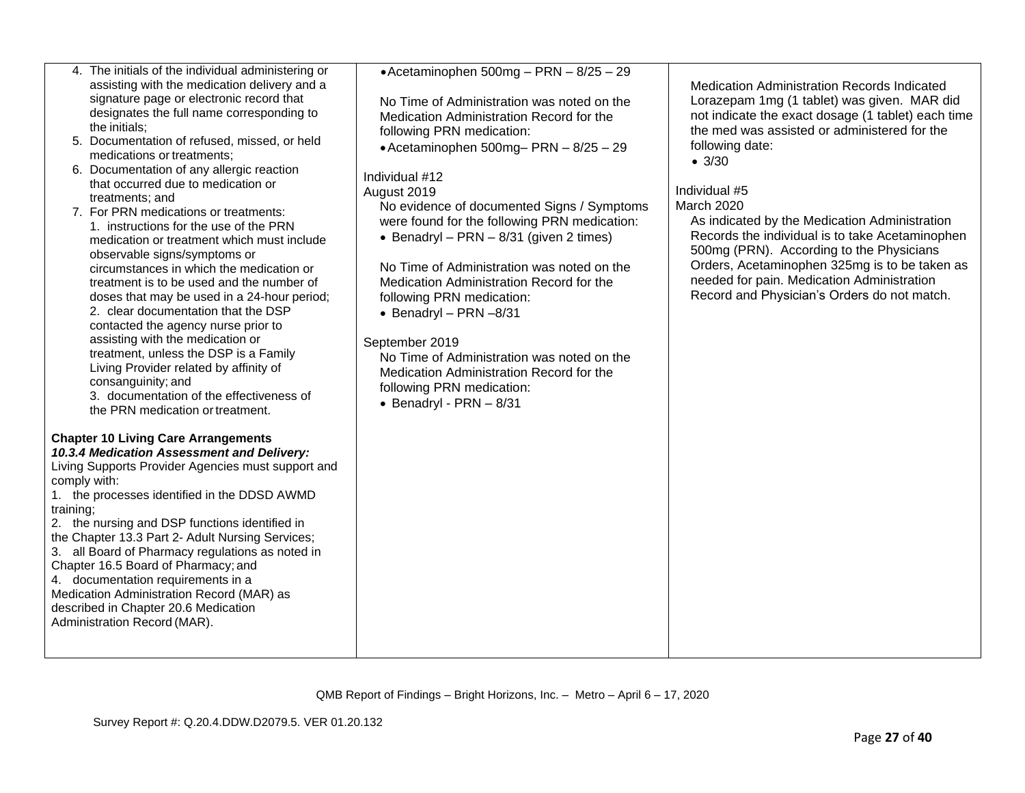|              | 4. The initials of the individual administering or<br>assisting with the medication delivery and a<br>signature page or electronic record that<br>designates the full name corresponding to<br>the initials;<br>5. Documentation of refused, missed, or held<br>medications or treatments;<br>6. Documentation of any allergic reaction<br>that occurred due to medication or<br>treatments; and<br>7. For PRN medications or treatments:<br>1. instructions for the use of the PRN<br>medication or treatment which must include<br>observable signs/symptoms or<br>circumstances in which the medication or<br>treatment is to be used and the number of<br>doses that may be used in a 24-hour period;<br>2. clear documentation that the DSP<br>contacted the agency nurse prior to<br>assisting with the medication or<br>treatment, unless the DSP is a Family<br>Living Provider related by affinity of<br>consanguinity; and<br>3. documentation of the effectiveness of<br>the PRN medication or treatment.<br><b>Chapter 10 Living Care Arrangements</b><br>10.3.4 Medication Assessment and Delivery:<br>Living Supports Provider Agencies must support and | •Acetaminophen 500mg - PRN - 8/25 - 29<br>No Time of Administration was noted on the<br>Medication Administration Record for the<br>following PRN medication:<br>$\bullet$ Acetaminophen 500mg-PRN - 8/25 - 29<br>Individual #12<br>August 2019<br>No evidence of documented Signs / Symptoms<br>were found for the following PRN medication:<br>• Benadryl - PRN - $8/31$ (given 2 times)<br>No Time of Administration was noted on the<br>Medication Administration Record for the<br>following PRN medication:<br>$\bullet$ Benadryl - PRN -8/31<br>September 2019<br>No Time of Administration was noted on the<br>Medication Administration Record for the<br>following PRN medication:<br>$\bullet$ Benadryl - PRN - 8/31 | Medication Administration Records Indicated<br>Lorazepam 1mg (1 tablet) was given. MAR did<br>not indicate the exact dosage (1 tablet) each time<br>the med was assisted or administered for the<br>following date:<br>• 3/30<br>Individual #5<br>March 2020<br>As indicated by the Medication Administration<br>Records the individual is to take Acetaminophen<br>500mg (PRN). According to the Physicians<br>Orders, Acetaminophen 325mg is to be taken as<br>needed for pain. Medication Administration<br>Record and Physician's Orders do not match. |
|--------------|------------------------------------------------------------------------------------------------------------------------------------------------------------------------------------------------------------------------------------------------------------------------------------------------------------------------------------------------------------------------------------------------------------------------------------------------------------------------------------------------------------------------------------------------------------------------------------------------------------------------------------------------------------------------------------------------------------------------------------------------------------------------------------------------------------------------------------------------------------------------------------------------------------------------------------------------------------------------------------------------------------------------------------------------------------------------------------------------------------------------------------------------------------------------|---------------------------------------------------------------------------------------------------------------------------------------------------------------------------------------------------------------------------------------------------------------------------------------------------------------------------------------------------------------------------------------------------------------------------------------------------------------------------------------------------------------------------------------------------------------------------------------------------------------------------------------------------------------------------------------------------------------------------------|------------------------------------------------------------------------------------------------------------------------------------------------------------------------------------------------------------------------------------------------------------------------------------------------------------------------------------------------------------------------------------------------------------------------------------------------------------------------------------------------------------------------------------------------------------|
| comply with: |                                                                                                                                                                                                                                                                                                                                                                                                                                                                                                                                                                                                                                                                                                                                                                                                                                                                                                                                                                                                                                                                                                                                                                        |                                                                                                                                                                                                                                                                                                                                                                                                                                                                                                                                                                                                                                                                                                                                 |                                                                                                                                                                                                                                                                                                                                                                                                                                                                                                                                                            |
| training;    | 1. the processes identified in the DDSD AWMD                                                                                                                                                                                                                                                                                                                                                                                                                                                                                                                                                                                                                                                                                                                                                                                                                                                                                                                                                                                                                                                                                                                           |                                                                                                                                                                                                                                                                                                                                                                                                                                                                                                                                                                                                                                                                                                                                 |                                                                                                                                                                                                                                                                                                                                                                                                                                                                                                                                                            |
|              | 2. the nursing and DSP functions identified in                                                                                                                                                                                                                                                                                                                                                                                                                                                                                                                                                                                                                                                                                                                                                                                                                                                                                                                                                                                                                                                                                                                         |                                                                                                                                                                                                                                                                                                                                                                                                                                                                                                                                                                                                                                                                                                                                 |                                                                                                                                                                                                                                                                                                                                                                                                                                                                                                                                                            |
|              | the Chapter 13.3 Part 2- Adult Nursing Services;<br>3. all Board of Pharmacy regulations as noted in                                                                                                                                                                                                                                                                                                                                                                                                                                                                                                                                                                                                                                                                                                                                                                                                                                                                                                                                                                                                                                                                   |                                                                                                                                                                                                                                                                                                                                                                                                                                                                                                                                                                                                                                                                                                                                 |                                                                                                                                                                                                                                                                                                                                                                                                                                                                                                                                                            |
|              | Chapter 16.5 Board of Pharmacy; and                                                                                                                                                                                                                                                                                                                                                                                                                                                                                                                                                                                                                                                                                                                                                                                                                                                                                                                                                                                                                                                                                                                                    |                                                                                                                                                                                                                                                                                                                                                                                                                                                                                                                                                                                                                                                                                                                                 |                                                                                                                                                                                                                                                                                                                                                                                                                                                                                                                                                            |
|              | 4. documentation requirements in a<br>Medication Administration Record (MAR) as                                                                                                                                                                                                                                                                                                                                                                                                                                                                                                                                                                                                                                                                                                                                                                                                                                                                                                                                                                                                                                                                                        |                                                                                                                                                                                                                                                                                                                                                                                                                                                                                                                                                                                                                                                                                                                                 |                                                                                                                                                                                                                                                                                                                                                                                                                                                                                                                                                            |
|              | described in Chapter 20.6 Medication<br>Administration Record (MAR).                                                                                                                                                                                                                                                                                                                                                                                                                                                                                                                                                                                                                                                                                                                                                                                                                                                                                                                                                                                                                                                                                                   |                                                                                                                                                                                                                                                                                                                                                                                                                                                                                                                                                                                                                                                                                                                                 |                                                                                                                                                                                                                                                                                                                                                                                                                                                                                                                                                            |
|              |                                                                                                                                                                                                                                                                                                                                                                                                                                                                                                                                                                                                                                                                                                                                                                                                                                                                                                                                                                                                                                                                                                                                                                        |                                                                                                                                                                                                                                                                                                                                                                                                                                                                                                                                                                                                                                                                                                                                 |                                                                                                                                                                                                                                                                                                                                                                                                                                                                                                                                                            |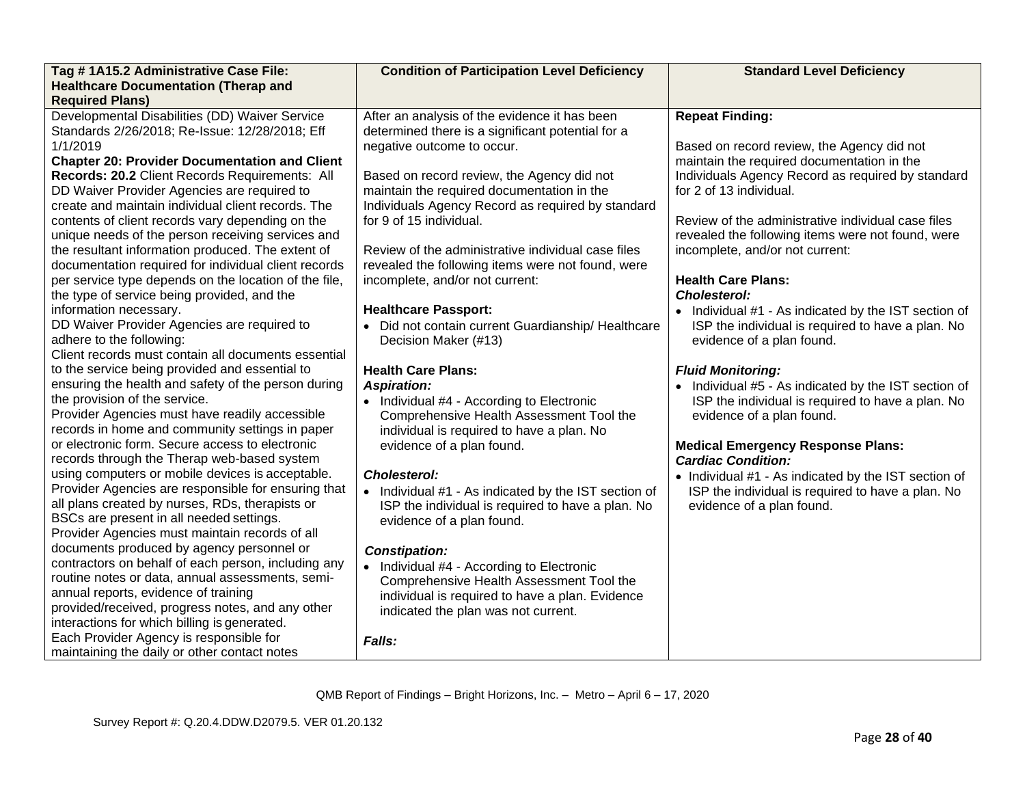| Tag #1A15.2 Administrative Case File:                                                                                                                                                                                                                                                                                                                                                                                                                                                                                                                                                                                                                                               | <b>Condition of Participation Level Deficiency</b>                                                                                                                                                                                                                                                                                                                                                                                                                                        | <b>Standard Level Deficiency</b>                                                                                                                                                                                                                                                                                                                                                                                                                             |
|-------------------------------------------------------------------------------------------------------------------------------------------------------------------------------------------------------------------------------------------------------------------------------------------------------------------------------------------------------------------------------------------------------------------------------------------------------------------------------------------------------------------------------------------------------------------------------------------------------------------------------------------------------------------------------------|-------------------------------------------------------------------------------------------------------------------------------------------------------------------------------------------------------------------------------------------------------------------------------------------------------------------------------------------------------------------------------------------------------------------------------------------------------------------------------------------|--------------------------------------------------------------------------------------------------------------------------------------------------------------------------------------------------------------------------------------------------------------------------------------------------------------------------------------------------------------------------------------------------------------------------------------------------------------|
| <b>Healthcare Documentation (Therap and</b>                                                                                                                                                                                                                                                                                                                                                                                                                                                                                                                                                                                                                                         |                                                                                                                                                                                                                                                                                                                                                                                                                                                                                           |                                                                                                                                                                                                                                                                                                                                                                                                                                                              |
| <b>Required Plans)</b>                                                                                                                                                                                                                                                                                                                                                                                                                                                                                                                                                                                                                                                              |                                                                                                                                                                                                                                                                                                                                                                                                                                                                                           |                                                                                                                                                                                                                                                                                                                                                                                                                                                              |
| Developmental Disabilities (DD) Waiver Service<br>Standards 2/26/2018; Re-Issue: 12/28/2018; Eff<br>1/1/2019<br><b>Chapter 20: Provider Documentation and Client</b><br>Records: 20.2 Client Records Requirements: All<br>DD Waiver Provider Agencies are required to<br>create and maintain individual client records. The<br>contents of client records vary depending on the<br>unique needs of the person receiving services and<br>the resultant information produced. The extent of<br>documentation required for individual client records<br>per service type depends on the location of the file,<br>the type of service being provided, and the<br>information necessary. | After an analysis of the evidence it has been<br>determined there is a significant potential for a<br>negative outcome to occur.<br>Based on record review, the Agency did not<br>maintain the required documentation in the<br>Individuals Agency Record as required by standard<br>for 9 of 15 individual.<br>Review of the administrative individual case files<br>revealed the following items were not found, were<br>incomplete, and/or not current:<br><b>Healthcare Passport:</b> | <b>Repeat Finding:</b><br>Based on record review, the Agency did not<br>maintain the required documentation in the<br>Individuals Agency Record as required by standard<br>for 2 of 13 individual.<br>Review of the administrative individual case files<br>revealed the following items were not found, were<br>incomplete, and/or not current:<br><b>Health Care Plans:</b><br><b>Cholesterol:</b><br>• Individual #1 - As indicated by the IST section of |
| DD Waiver Provider Agencies are required to<br>adhere to the following:<br>Client records must contain all documents essential<br>to the service being provided and essential to<br>ensuring the health and safety of the person during<br>the provision of the service.<br>Provider Agencies must have readily accessible<br>records in home and community settings in paper<br>or electronic form. Secure access to electronic                                                                                                                                                                                                                                                    | • Did not contain current Guardianship/ Healthcare<br>Decision Maker (#13)<br><b>Health Care Plans:</b><br><b>Aspiration:</b><br>• Individual #4 - According to Electronic<br>Comprehensive Health Assessment Tool the<br>individual is required to have a plan. No<br>evidence of a plan found.                                                                                                                                                                                          | ISP the individual is required to have a plan. No<br>evidence of a plan found.<br><b>Fluid Monitoring:</b><br>• Individual #5 - As indicated by the IST section of<br>ISP the individual is required to have a plan. No<br>evidence of a plan found.<br><b>Medical Emergency Response Plans:</b>                                                                                                                                                             |
| records through the Therap web-based system<br>using computers or mobile devices is acceptable.<br>Provider Agencies are responsible for ensuring that<br>all plans created by nurses, RDs, therapists or<br>BSCs are present in all needed settings.<br>Provider Agencies must maintain records of all<br>documents produced by agency personnel or<br>contractors on behalf of each person, including any<br>routine notes or data, annual assessments, semi-<br>annual reports, evidence of training<br>provided/received, progress notes, and any other<br>interactions for which billing is generated.                                                                         | <b>Cholesterol:</b><br>• Individual #1 - As indicated by the IST section of<br>ISP the individual is required to have a plan. No<br>evidence of a plan found.<br><b>Constipation:</b><br>• Individual #4 - According to Electronic<br>Comprehensive Health Assessment Tool the<br>individual is required to have a plan. Evidence<br>indicated the plan was not current.                                                                                                                  | <b>Cardiac Condition:</b><br>• Individual #1 - As indicated by the IST section of<br>ISP the individual is required to have a plan. No<br>evidence of a plan found.                                                                                                                                                                                                                                                                                          |
| Each Provider Agency is responsible for<br>maintaining the daily or other contact notes                                                                                                                                                                                                                                                                                                                                                                                                                                                                                                                                                                                             | Falls:                                                                                                                                                                                                                                                                                                                                                                                                                                                                                    |                                                                                                                                                                                                                                                                                                                                                                                                                                                              |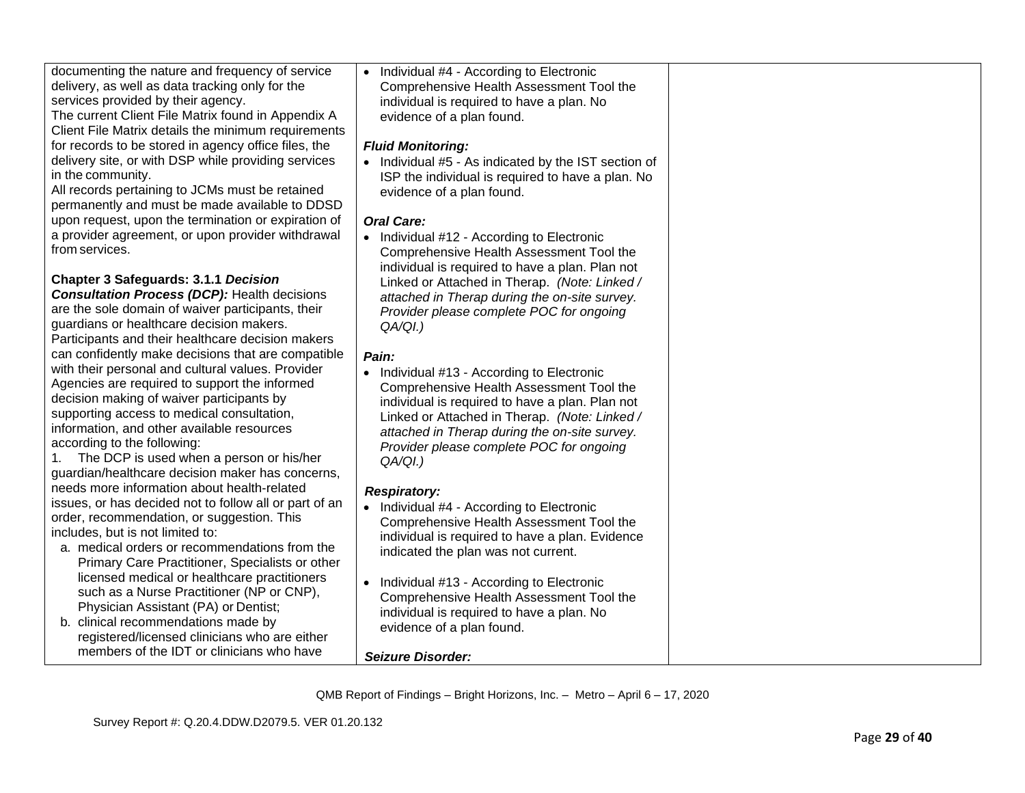| documenting the nature and frequency of service<br>delivery, as well as data tracking only for the<br>services provided by their agency.<br>The current Client File Matrix found in Appendix A<br>Client File Matrix details the minimum requirements                                                                                                                                                                               | • Individual #4 - According to Electronic<br>Comprehensive Health Assessment Tool the<br>individual is required to have a plan. No<br>evidence of a plan found.                                                                                                                                                |  |
|-------------------------------------------------------------------------------------------------------------------------------------------------------------------------------------------------------------------------------------------------------------------------------------------------------------------------------------------------------------------------------------------------------------------------------------|----------------------------------------------------------------------------------------------------------------------------------------------------------------------------------------------------------------------------------------------------------------------------------------------------------------|--|
| for records to be stored in agency office files, the<br>delivery site, or with DSP while providing services<br>in the community.                                                                                                                                                                                                                                                                                                    | <b>Fluid Monitoring:</b><br>• Individual #5 - As indicated by the IST section of<br>ISP the individual is required to have a plan. No                                                                                                                                                                          |  |
| All records pertaining to JCMs must be retained<br>permanently and must be made available to DDSD<br>upon request, upon the termination or expiration of                                                                                                                                                                                                                                                                            | evidence of a plan found.<br><b>Oral Care:</b>                                                                                                                                                                                                                                                                 |  |
| a provider agreement, or upon provider withdrawal<br>from services.                                                                                                                                                                                                                                                                                                                                                                 | • Individual #12 - According to Electronic<br>Comprehensive Health Assessment Tool the<br>individual is required to have a plan. Plan not                                                                                                                                                                      |  |
| <b>Chapter 3 Safeguards: 3.1.1 Decision</b><br><b>Consultation Process (DCP): Health decisions</b><br>are the sole domain of waiver participants, their<br>guardians or healthcare decision makers.                                                                                                                                                                                                                                 | Linked or Attached in Therap. (Note: Linked /<br>attached in Therap during the on-site survey.<br>Provider please complete POC for ongoing<br>QA/QI.)                                                                                                                                                          |  |
| Participants and their healthcare decision makers                                                                                                                                                                                                                                                                                                                                                                                   |                                                                                                                                                                                                                                                                                                                |  |
| can confidently make decisions that are compatible<br>with their personal and cultural values. Provider<br>Agencies are required to support the informed<br>decision making of waiver participants by<br>supporting access to medical consultation,<br>information, and other available resources<br>according to the following:<br>1. The DCP is used when a person or his/her<br>quardian/healthcare decision maker has concerns, | Pain:<br>• Individual #13 - According to Electronic<br>Comprehensive Health Assessment Tool the<br>individual is required to have a plan. Plan not<br>Linked or Attached in Therap. (Note: Linked /<br>attached in Therap during the on-site survey.<br>Provider please complete POC for ongoing<br>$QA/QI.$ ) |  |
| needs more information about health-related<br>issues, or has decided not to follow all or part of an<br>order, recommendation, or suggestion. This<br>includes, but is not limited to:<br>a. medical orders or recommendations from the<br>Primary Care Practitioner, Specialists or other                                                                                                                                         | <b>Respiratory:</b><br>• Individual #4 - According to Electronic<br>Comprehensive Health Assessment Tool the<br>individual is required to have a plan. Evidence<br>indicated the plan was not current.                                                                                                         |  |
| licensed medical or healthcare practitioners<br>such as a Nurse Practitioner (NP or CNP),<br>Physician Assistant (PA) or Dentist;<br>b. clinical recommendations made by<br>registered/licensed clinicians who are either                                                                                                                                                                                                           | • Individual #13 - According to Electronic<br>Comprehensive Health Assessment Tool the<br>individual is required to have a plan. No<br>evidence of a plan found.                                                                                                                                               |  |
| members of the IDT or clinicians who have                                                                                                                                                                                                                                                                                                                                                                                           | <b>Seizure Disorder:</b>                                                                                                                                                                                                                                                                                       |  |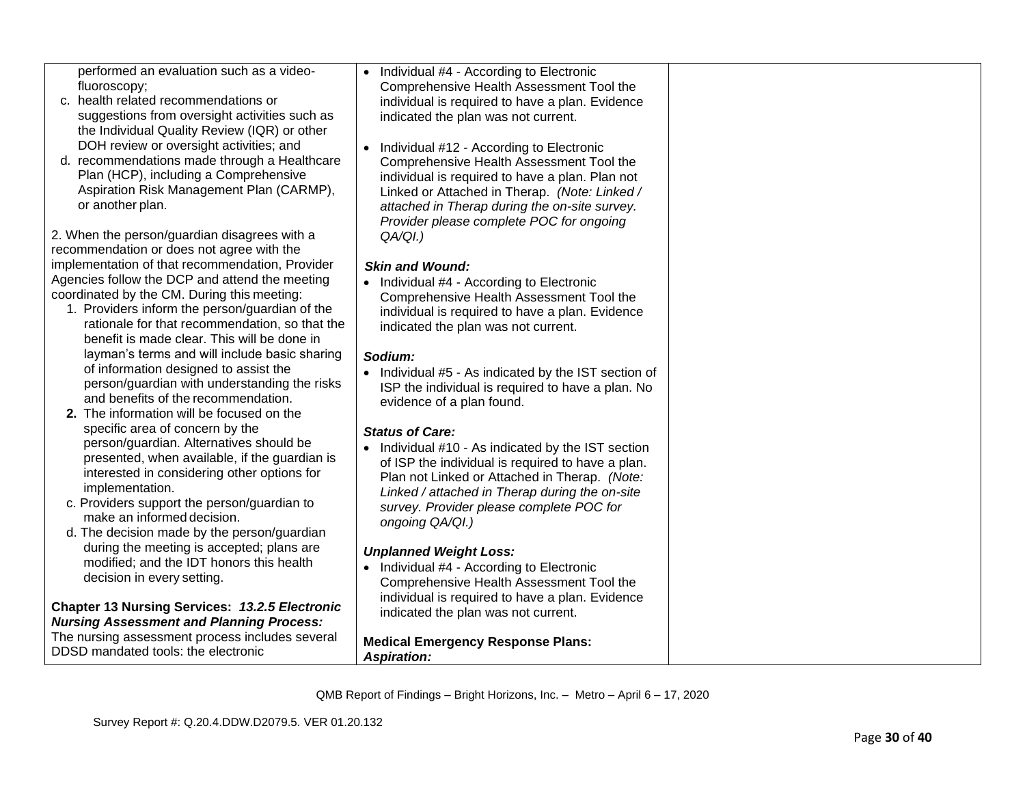performed an evaluation such as a videofluoroscopy;

- c. health related recommendations or suggestions from oversight activities such as the Individual Quality Review (IQR) or other DOH review or oversight activities; and
- d. recommendations made through a Healthcare Plan (HCP), including a Comprehensive Aspiration Risk Management Plan (CARMP), or another plan.

2. When the person/guardian disagrees with a recommendation or does not agree with the implementation of that recommendation, Provider Agencies follow the DCP and attend the meeting coordinated by the CM. During this meeting:

- 1. Providers inform the person/guardian of the rationale for that recommendation, so that the benefit is made clear. This will be done in layman's terms and will include basic sharing of information designed to assist the person/guardian with understanding the risks and benefits of the recommendation.
- **2.** The information will be focused on the specific area of concern by the person/guardian. Alternatives should be presented, when available, if the guardian is interested in considering other options for implementation.
- c. Providers support the person/guardian to make an informed decision.
- d. The decision made by the person/guardian during the meeting is accepted; plans are modified; and the IDT honors this health decision in every setting.

## **Chapter 13 Nursing Services:** *13.2.5 Electronic Nursing Assessment and Planning Process:*

The nursing assessment process includes several DDSD mandated tools: the electronic

• Individual #4 - According to Electronic Comprehensive Health Assessment Tool the individual is required to have a plan. Evidence indicated the plan was not current.

• Individual #12 - According to Electronic Comprehensive Health Assessment Tool the individual is required to have a plan. Plan not Linked or Attached in Therap. *(Note: Linked / attached in Therap during the on-site survey. Provider please complete POC for ongoing QA/QI.)*

# *Skin and Wound:*

• Individual #4 - According to Electronic Comprehensive Health Assessment Tool the individual is required to have a plan. Evidence indicated the plan was not current.

# *Sodium:*

• Individual #5 - As indicated by the IST section of ISP the individual is required to have a plan. No evidence of a plan found.

# *Status of Care:*

• Individual #10 - As indicated by the IST section of ISP the individual is required to have a plan. Plan not Linked or Attached in Therap. *(Note: Linked / attached in Therap during the on-site survey. Provider please complete POC for ongoing QA/QI.)*

# *Unplanned Weight Loss:*

• Individual #4 - According to Electronic Comprehensive Health Assessment Tool the individual is required to have a plan. Evidence indicated the plan was not current.

**Medical Emergency Response Plans:** *Aspiration:*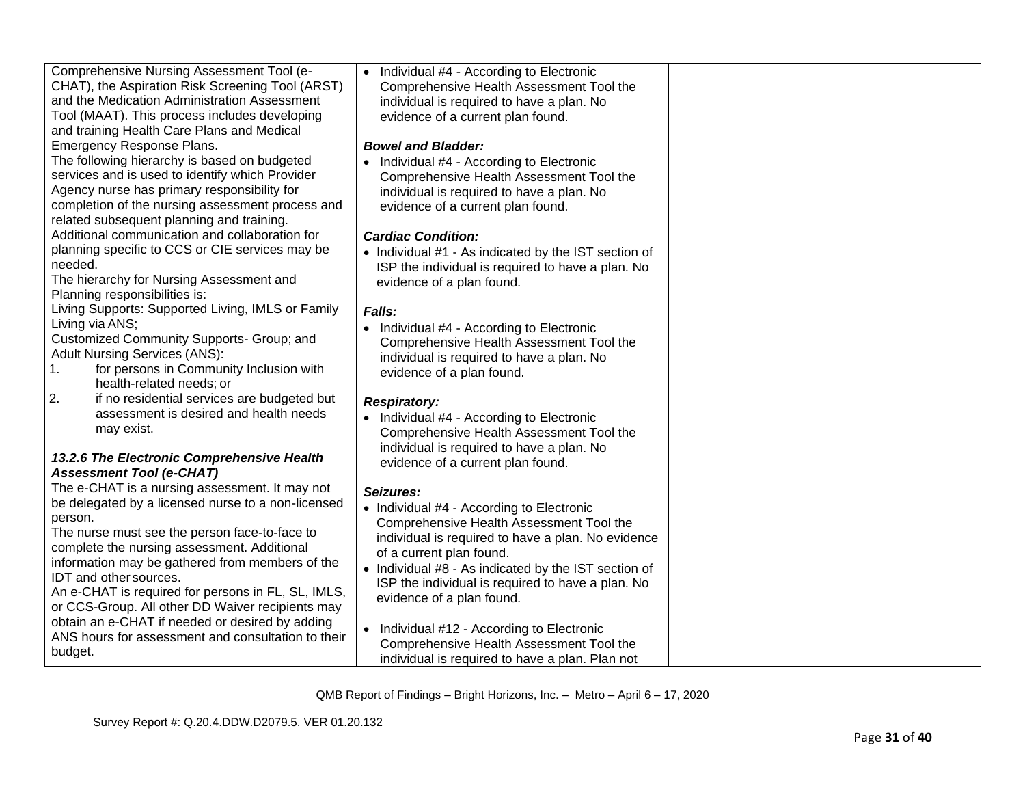| Comprehensive Nursing Assessment Tool (e-<br>CHAT), the Aspiration Risk Screening Tool (ARST)<br>and the Medication Administration Assessment<br>Tool (MAAT). This process includes developing<br>and training Health Care Plans and Medical                                                                                                                                                           | • Individual #4 - According to Electronic<br>Comprehensive Health Assessment Tool the<br>individual is required to have a plan. No<br>evidence of a current plan found.                                                                                                                                                        |  |
|--------------------------------------------------------------------------------------------------------------------------------------------------------------------------------------------------------------------------------------------------------------------------------------------------------------------------------------------------------------------------------------------------------|--------------------------------------------------------------------------------------------------------------------------------------------------------------------------------------------------------------------------------------------------------------------------------------------------------------------------------|--|
| Emergency Response Plans.<br>The following hierarchy is based on budgeted<br>services and is used to identify which Provider<br>Agency nurse has primary responsibility for<br>completion of the nursing assessment process and<br>related subsequent planning and training.                                                                                                                           | <b>Bowel and Bladder:</b><br>• Individual #4 - According to Electronic<br>Comprehensive Health Assessment Tool the<br>individual is required to have a plan. No<br>evidence of a current plan found.                                                                                                                           |  |
| Additional communication and collaboration for<br>planning specific to CCS or CIE services may be<br>needed.<br>The hierarchy for Nursing Assessment and<br>Planning responsibilities is:                                                                                                                                                                                                              | <b>Cardiac Condition:</b><br>• Individual #1 - As indicated by the IST section of<br>ISP the individual is required to have a plan. No<br>evidence of a plan found.                                                                                                                                                            |  |
| Living Supports: Supported Living, IMLS or Family<br>Living via ANS;<br>Customized Community Supports- Group; and<br><b>Adult Nursing Services (ANS):</b><br>for persons in Community Inclusion with<br>$\mathbf{1}$ .<br>health-related needs; or                                                                                                                                                     | Falls:<br>• Individual #4 - According to Electronic<br>Comprehensive Health Assessment Tool the<br>individual is required to have a plan. No<br>evidence of a plan found.                                                                                                                                                      |  |
| 2.<br>if no residential services are budgeted but<br>assessment is desired and health needs<br>may exist.<br>13.2.6 The Electronic Comprehensive Health<br><b>Assessment Tool (e-CHAT)</b>                                                                                                                                                                                                             | <b>Respiratory:</b><br>• Individual #4 - According to Electronic<br>Comprehensive Health Assessment Tool the<br>individual is required to have a plan. No<br>evidence of a current plan found.                                                                                                                                 |  |
| The e-CHAT is a nursing assessment. It may not<br>be delegated by a licensed nurse to a non-licensed<br>person.<br>The nurse must see the person face-to-face to<br>complete the nursing assessment. Additional<br>information may be gathered from members of the<br>IDT and other sources.<br>An e-CHAT is required for persons in FL, SL, IMLS,<br>or CCS-Group. All other DD Waiver recipients may | Seizures:<br>• Individual #4 - According to Electronic<br>Comprehensive Health Assessment Tool the<br>individual is required to have a plan. No evidence<br>of a current plan found.<br>• Individual #8 - As indicated by the IST section of<br>ISP the individual is required to have a plan. No<br>evidence of a plan found. |  |
| obtain an e-CHAT if needed or desired by adding<br>ANS hours for assessment and consultation to their<br>budget.                                                                                                                                                                                                                                                                                       | • Individual #12 - According to Electronic<br>Comprehensive Health Assessment Tool the<br>individual is required to have a plan. Plan not                                                                                                                                                                                      |  |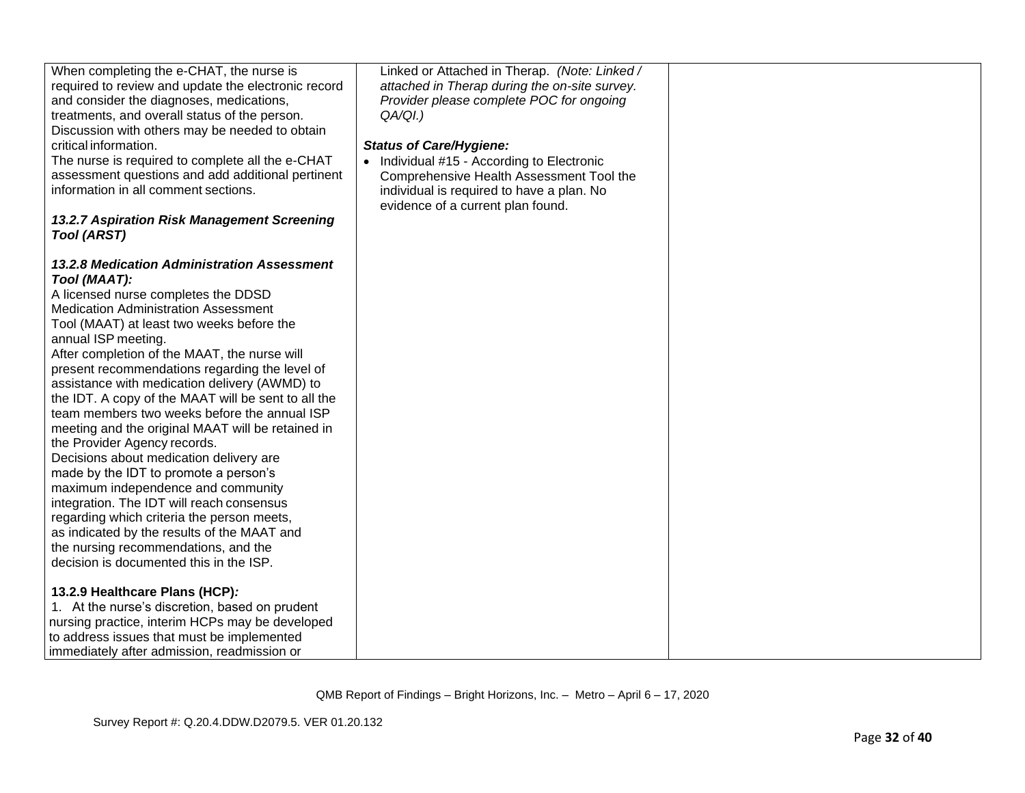| When completing the e-CHAT, the nurse is<br>required to review and update the electronic record<br>and consider the diagnoses, medications,<br>treatments, and overall status of the person.<br>Discussion with others may be needed to obtain<br>critical information.<br>The nurse is required to complete all the e-CHAT<br>assessment questions and add additional pertinent<br>information in all comment sections.<br>13.2.7 Aspiration Risk Management Screening<br><b>Tool (ARST)</b>                                                                                                                                                                                                                                                                                                                                                                                                                                                                                                                                                                                                                                                                   | Linked or Attached in Therap. (Note: Linked /<br>attached in Therap during the on-site survey.<br>Provider please complete POC for ongoing<br>$QA/QI.$ )<br><b>Status of Care/Hygiene:</b><br>• Individual #15 - According to Electronic<br>Comprehensive Health Assessment Tool the<br>individual is required to have a plan. No<br>evidence of a current plan found. |  |
|-----------------------------------------------------------------------------------------------------------------------------------------------------------------------------------------------------------------------------------------------------------------------------------------------------------------------------------------------------------------------------------------------------------------------------------------------------------------------------------------------------------------------------------------------------------------------------------------------------------------------------------------------------------------------------------------------------------------------------------------------------------------------------------------------------------------------------------------------------------------------------------------------------------------------------------------------------------------------------------------------------------------------------------------------------------------------------------------------------------------------------------------------------------------|------------------------------------------------------------------------------------------------------------------------------------------------------------------------------------------------------------------------------------------------------------------------------------------------------------------------------------------------------------------------|--|
| 13.2.8 Medication Administration Assessment<br>Tool (MAAT):<br>A licensed nurse completes the DDSD<br><b>Medication Administration Assessment</b><br>Tool (MAAT) at least two weeks before the<br>annual ISP meeting.<br>After completion of the MAAT, the nurse will<br>present recommendations regarding the level of<br>assistance with medication delivery (AWMD) to<br>the IDT. A copy of the MAAT will be sent to all the<br>team members two weeks before the annual ISP<br>meeting and the original MAAT will be retained in<br>the Provider Agency records.<br>Decisions about medication delivery are<br>made by the IDT to promote a person's<br>maximum independence and community<br>integration. The IDT will reach consensus<br>regarding which criteria the person meets,<br>as indicated by the results of the MAAT and<br>the nursing recommendations, and the<br>decision is documented this in the ISP.<br>13.2.9 Healthcare Plans (HCP):<br>1. At the nurse's discretion, based on prudent<br>nursing practice, interim HCPs may be developed<br>to address issues that must be implemented<br>immediately after admission, readmission or |                                                                                                                                                                                                                                                                                                                                                                        |  |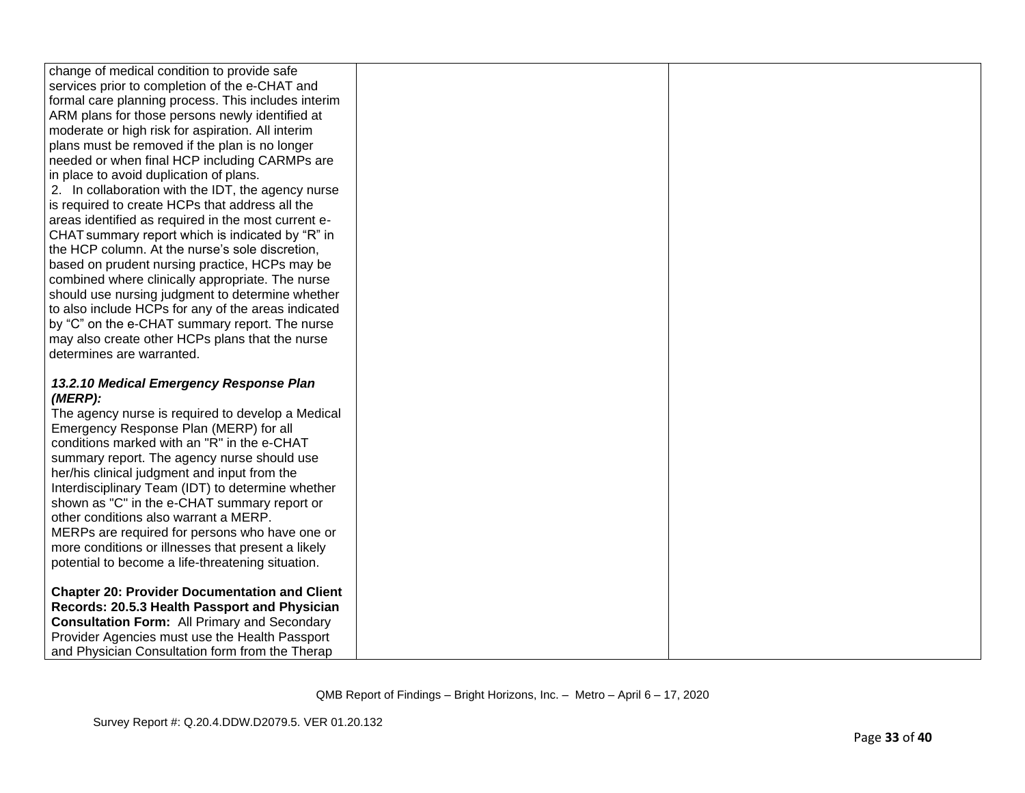| change of medical condition to provide safe                                                          |  |
|------------------------------------------------------------------------------------------------------|--|
| services prior to completion of the e-CHAT and                                                       |  |
| formal care planning process. This includes interim                                                  |  |
| ARM plans for those persons newly identified at                                                      |  |
| moderate or high risk for aspiration. All interim                                                    |  |
| plans must be removed if the plan is no longer                                                       |  |
| needed or when final HCP including CARMPs are                                                        |  |
| in place to avoid duplication of plans.                                                              |  |
| 2. In collaboration with the IDT, the agency nurse                                                   |  |
| is required to create HCPs that address all the                                                      |  |
| areas identified as required in the most current e-                                                  |  |
| CHAT summary report which is indicated by "R" in                                                     |  |
| the HCP column. At the nurse's sole discretion,                                                      |  |
| based on prudent nursing practice, HCPs may be                                                       |  |
| combined where clinically appropriate. The nurse                                                     |  |
| should use nursing judgment to determine whether                                                     |  |
| to also include HCPs for any of the areas indicated                                                  |  |
| by "C" on the e-CHAT summary report. The nurse                                                       |  |
| may also create other HCPs plans that the nurse                                                      |  |
| determines are warranted.                                                                            |  |
|                                                                                                      |  |
| 13.2.10 Medical Emergency Response Plan                                                              |  |
| (MERP):                                                                                              |  |
| The agency nurse is required to develop a Medical                                                    |  |
| Emergency Response Plan (MERP) for all<br>conditions marked with an "R" in the e-CHAT                |  |
|                                                                                                      |  |
| summary report. The agency nurse should use                                                          |  |
| her/his clinical judgment and input from the                                                         |  |
| Interdisciplinary Team (IDT) to determine whether                                                    |  |
| shown as "C" in the e-CHAT summary report or<br>other conditions also warrant a MERP.                |  |
|                                                                                                      |  |
| MERPs are required for persons who have one or<br>more conditions or illnesses that present a likely |  |
| potential to become a life-threatening situation.                                                    |  |
|                                                                                                      |  |
| <b>Chapter 20: Provider Documentation and Client</b>                                                 |  |
| Records: 20.5.3 Health Passport and Physician                                                        |  |
| <b>Consultation Form: All Primary and Secondary</b>                                                  |  |
| Provider Agencies must use the Health Passport                                                       |  |
| and Physician Consultation form from the Therap                                                      |  |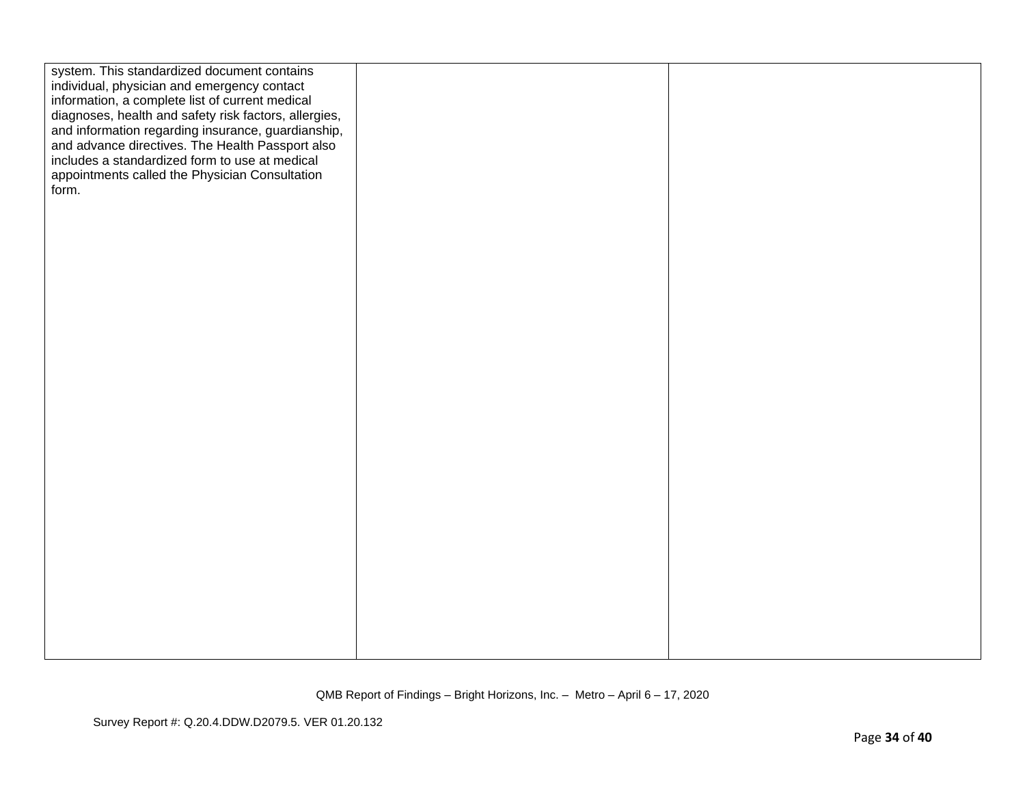| system. This standardized document contains<br>individual, physician and emergency contact<br>information, a complete list of current medical<br>diagnoses, health and safety risk factors, allergies,<br>and information regarding insurance, guardianship,<br>and advance directives. The Health Passport also<br>includes a standardized form to use at medical<br>appointments called the Physician Consultation<br>form. |  |
|-------------------------------------------------------------------------------------------------------------------------------------------------------------------------------------------------------------------------------------------------------------------------------------------------------------------------------------------------------------------------------------------------------------------------------|--|
|                                                                                                                                                                                                                                                                                                                                                                                                                               |  |
|                                                                                                                                                                                                                                                                                                                                                                                                                               |  |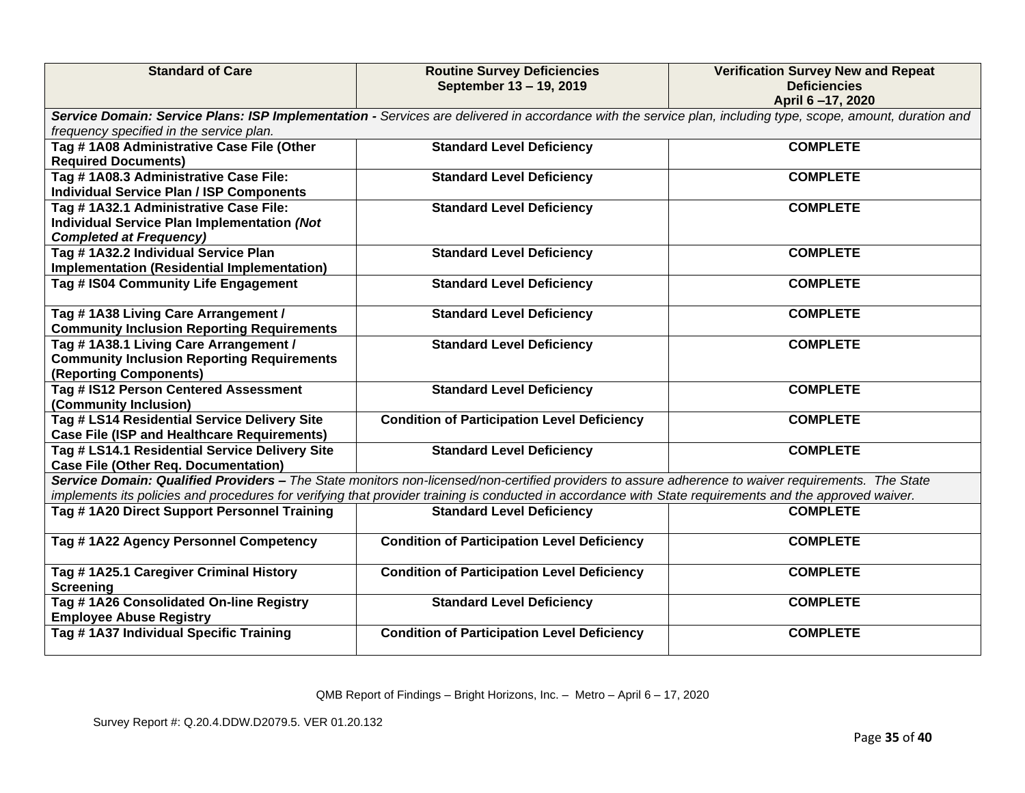| <b>Standard of Care</b>                                                                                                                                                                                                                                                                                        | <b>Routine Survey Deficiencies</b><br>September 13 - 19, 2019 | <b>Verification Survey New and Repeat</b><br><b>Deficiencies</b><br>April 6-17, 2020 |
|----------------------------------------------------------------------------------------------------------------------------------------------------------------------------------------------------------------------------------------------------------------------------------------------------------------|---------------------------------------------------------------|--------------------------------------------------------------------------------------|
| Service Domain: Service Plans: ISP Implementation - Services are delivered in accordance with the service plan, including type, scope, amount, duration and<br>frequency specified in the service plan.                                                                                                        |                                                               |                                                                                      |
| Tag # 1A08 Administrative Case File (Other<br><b>Required Documents)</b>                                                                                                                                                                                                                                       | <b>Standard Level Deficiency</b>                              | <b>COMPLETE</b>                                                                      |
| Tag #1A08.3 Administrative Case File:<br><b>Individual Service Plan / ISP Components</b>                                                                                                                                                                                                                       | <b>Standard Level Deficiency</b>                              | <b>COMPLETE</b>                                                                      |
| Tag # 1A32.1 Administrative Case File:<br>Individual Service Plan Implementation (Not<br><b>Completed at Frequency)</b>                                                                                                                                                                                        | <b>Standard Level Deficiency</b>                              | <b>COMPLETE</b>                                                                      |
| Tag #1A32.2 Individual Service Plan<br>Implementation (Residential Implementation)                                                                                                                                                                                                                             | <b>Standard Level Deficiency</b>                              | <b>COMPLETE</b>                                                                      |
| Tag # IS04 Community Life Engagement                                                                                                                                                                                                                                                                           | <b>Standard Level Deficiency</b>                              | <b>COMPLETE</b>                                                                      |
| Tag #1A38 Living Care Arrangement /<br><b>Community Inclusion Reporting Requirements</b>                                                                                                                                                                                                                       | <b>Standard Level Deficiency</b>                              | <b>COMPLETE</b>                                                                      |
| Tag #1A38.1 Living Care Arrangement /<br><b>Community Inclusion Reporting Requirements</b><br>(Reporting Components)                                                                                                                                                                                           | <b>Standard Level Deficiency</b>                              | <b>COMPLETE</b>                                                                      |
| Tag # IS12 Person Centered Assessment<br>(Community Inclusion)                                                                                                                                                                                                                                                 | <b>Standard Level Deficiency</b>                              | <b>COMPLETE</b>                                                                      |
| Tag # LS14 Residential Service Delivery Site<br><b>Case File (ISP and Healthcare Requirements)</b>                                                                                                                                                                                                             | <b>Condition of Participation Level Deficiency</b>            | <b>COMPLETE</b>                                                                      |
| Tag # LS14.1 Residential Service Delivery Site<br><b>Case File (Other Req. Documentation)</b>                                                                                                                                                                                                                  | <b>Standard Level Deficiency</b>                              | <b>COMPLETE</b>                                                                      |
| Service Domain: Qualified Providers - The State monitors non-licensed/non-certified providers to assure adherence to waiver requirements. The State<br>implements its policies and procedures for verifying that provider training is conducted in accordance with State requirements and the approved waiver. |                                                               |                                                                                      |
| Tag # 1A20 Direct Support Personnel Training                                                                                                                                                                                                                                                                   | <b>Standard Level Deficiency</b>                              | <b>COMPLETE</b>                                                                      |
| Tag #1A22 Agency Personnel Competency                                                                                                                                                                                                                                                                          | <b>Condition of Participation Level Deficiency</b>            | <b>COMPLETE</b>                                                                      |
| Tag #1A25.1 Caregiver Criminal History<br><b>Screening</b>                                                                                                                                                                                                                                                     | <b>Condition of Participation Level Deficiency</b>            | <b>COMPLETE</b>                                                                      |
| Tag #1A26 Consolidated On-line Registry<br><b>Employee Abuse Registry</b>                                                                                                                                                                                                                                      | <b>Standard Level Deficiency</b>                              | <b>COMPLETE</b>                                                                      |
| Tag # 1A37 Individual Specific Training                                                                                                                                                                                                                                                                        | <b>Condition of Participation Level Deficiency</b>            | <b>COMPLETE</b>                                                                      |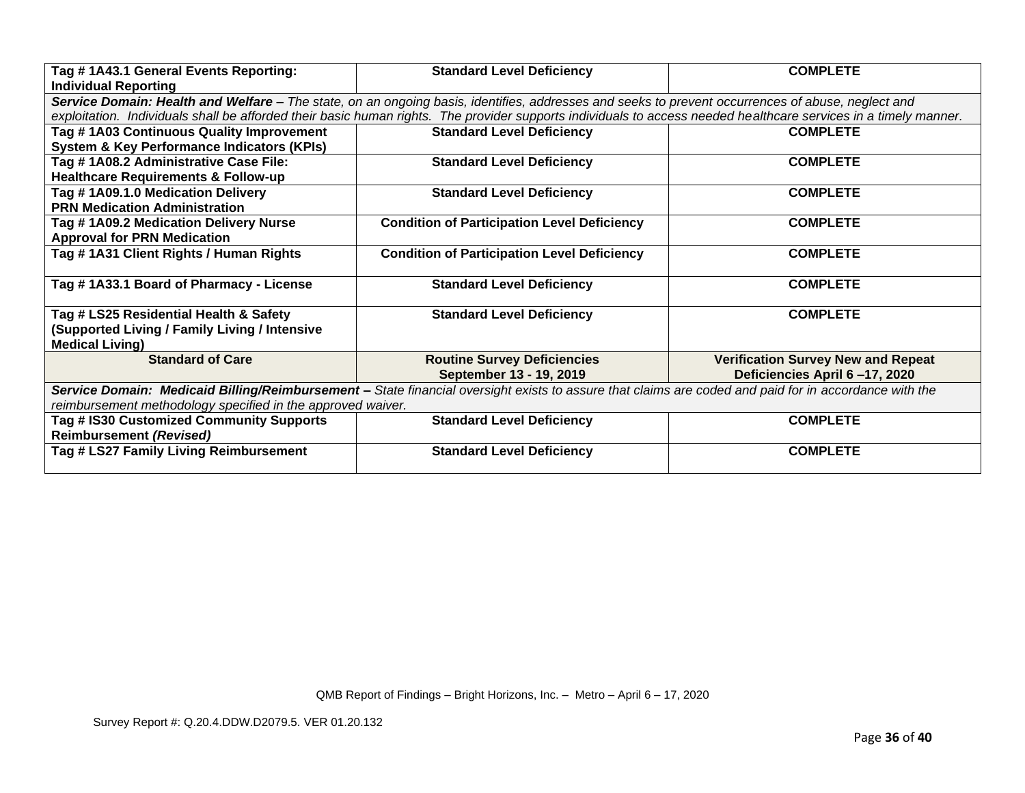| Tag #1A43.1 General Events Reporting:<br><b>Individual Reporting</b>                                                                                  | <b>Standard Level Deficiency</b>                                                                                                                                 | <b>COMPLETE</b>                           |
|-------------------------------------------------------------------------------------------------------------------------------------------------------|------------------------------------------------------------------------------------------------------------------------------------------------------------------|-------------------------------------------|
|                                                                                                                                                       | Service Domain: Health and Welfare – The state, on an ongoing basis, identifies, addresses and seeks to prevent occurrences of abuse, neglect and                |                                           |
|                                                                                                                                                       | exploitation. Individuals shall be afforded their basic human rights. The provider supports individuals to access needed healthcare services in a timely manner. |                                           |
| Tag # 1A03 Continuous Quality Improvement                                                                                                             | <b>Standard Level Deficiency</b>                                                                                                                                 | <b>COMPLETE</b>                           |
| <b>System &amp; Key Performance Indicators (KPIs)</b>                                                                                                 |                                                                                                                                                                  |                                           |
| Tag # 1A08.2 Administrative Case File:                                                                                                                | <b>Standard Level Deficiency</b>                                                                                                                                 | <b>COMPLETE</b>                           |
| <b>Healthcare Requirements &amp; Follow-up</b>                                                                                                        |                                                                                                                                                                  |                                           |
| Tag #1A09.1.0 Medication Delivery                                                                                                                     | <b>Standard Level Deficiency</b>                                                                                                                                 | <b>COMPLETE</b>                           |
| <b>PRN Medication Administration</b>                                                                                                                  |                                                                                                                                                                  |                                           |
| Tag # 1A09.2 Medication Delivery Nurse                                                                                                                | <b>Condition of Participation Level Deficiency</b>                                                                                                               | <b>COMPLETE</b>                           |
| <b>Approval for PRN Medication</b>                                                                                                                    |                                                                                                                                                                  |                                           |
| Tag #1A31 Client Rights / Human Rights                                                                                                                | <b>Condition of Participation Level Deficiency</b>                                                                                                               | <b>COMPLETE</b>                           |
|                                                                                                                                                       |                                                                                                                                                                  |                                           |
| Tag #1A33.1 Board of Pharmacy - License                                                                                                               | <b>Standard Level Deficiency</b>                                                                                                                                 | <b>COMPLETE</b>                           |
|                                                                                                                                                       |                                                                                                                                                                  |                                           |
| Tag # LS25 Residential Health & Safety                                                                                                                | <b>Standard Level Deficiency</b>                                                                                                                                 | <b>COMPLETE</b>                           |
| (Supported Living / Family Living / Intensive                                                                                                         |                                                                                                                                                                  |                                           |
| <b>Medical Living)</b>                                                                                                                                |                                                                                                                                                                  |                                           |
| <b>Standard of Care</b>                                                                                                                               | <b>Routine Survey Deficiencies</b>                                                                                                                               | <b>Verification Survey New and Repeat</b> |
|                                                                                                                                                       | September 13 - 19, 2019                                                                                                                                          | Deficiencies April 6-17, 2020             |
| Service Domain: Medicaid Billing/Reimbursement - State financial oversight exists to assure that claims are coded and paid for in accordance with the |                                                                                                                                                                  |                                           |
| reimbursement methodology specified in the approved waiver.                                                                                           |                                                                                                                                                                  |                                           |
| Tag # IS30 Customized Community Supports                                                                                                              | <b>Standard Level Deficiency</b>                                                                                                                                 | <b>COMPLETE</b>                           |
| <b>Reimbursement (Revised)</b>                                                                                                                        |                                                                                                                                                                  |                                           |
| Tag # LS27 Family Living Reimbursement                                                                                                                | <b>Standard Level Deficiency</b>                                                                                                                                 | <b>COMPLETE</b>                           |
|                                                                                                                                                       |                                                                                                                                                                  |                                           |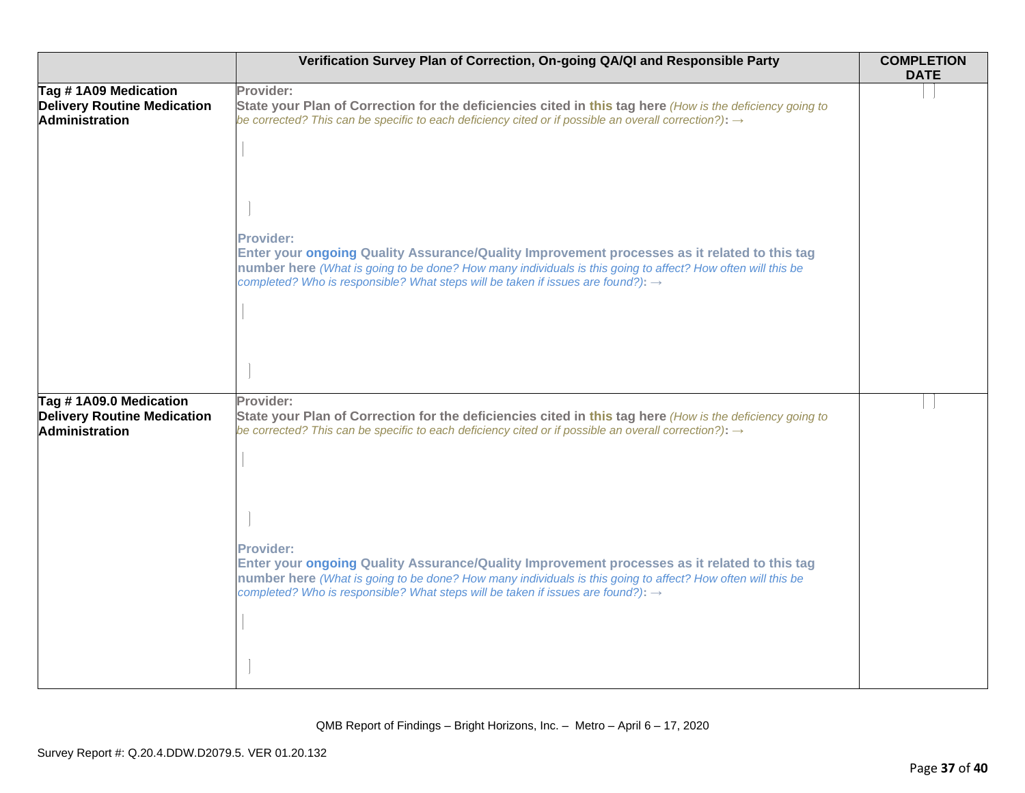|                                                                              | Verification Survey Plan of Correction, On-going QA/QI and Responsible Party                                                                                                                                                                                                                                                    | <b>COMPLETION</b><br><b>DATE</b> |
|------------------------------------------------------------------------------|---------------------------------------------------------------------------------------------------------------------------------------------------------------------------------------------------------------------------------------------------------------------------------------------------------------------------------|----------------------------------|
| Tag #1A09 Medication<br><b>Delivery Routine Medication</b><br>Administration | Provider:<br>State your Plan of Correction for the deficiencies cited in this tag here (How is the deficiency going to<br>be corrected? This can be specific to each deficiency cited or if possible an overall correction?): $\rightarrow$                                                                                     |                                  |
|                                                                              | <b>Provider:</b><br>Enter your ongoing Quality Assurance/Quality Improvement processes as it related to this tag<br>number here (What is going to be done? How many individuals is this going to affect? How often will this be<br>completed? Who is responsible? What steps will be taken if issues are found?): $\rightarrow$ |                                  |
| Tag #1A09.0 Medication<br><b>Delivery Routine Medication</b>                 | Provider:<br>State your Plan of Correction for the deficiencies cited in this tag here (How is the deficiency going to                                                                                                                                                                                                          |                                  |
| Administration                                                               | be corrected? This can be specific to each deficiency cited or if possible an overall correction?): $\rightarrow$                                                                                                                                                                                                               |                                  |
|                                                                              | <b>Provider:</b><br>Enter your ongoing Quality Assurance/Quality Improvement processes as it related to this tag<br>number here (What is going to be done? How many individuals is this going to affect? How often will this be<br>completed? Who is responsible? What steps will be taken if issues are found?): $\rightarrow$ |                                  |
|                                                                              |                                                                                                                                                                                                                                                                                                                                 |                                  |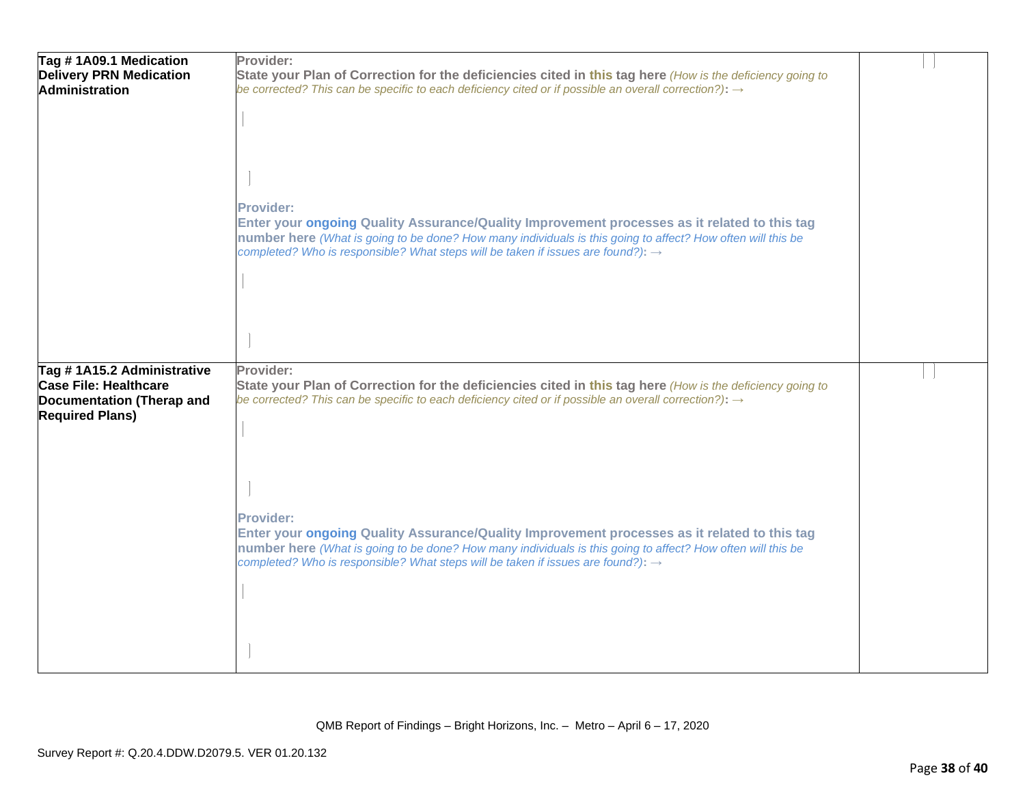| Tag #1A09.1 Medication<br><b>Delivery PRN Medication</b><br><b>Administration</b>                                 | Provider:<br>State your Plan of Correction for the deficiencies cited in this tag here (How is the deficiency going to<br>be corrected? This can be specific to each deficiency cited or if possible an overall correction?): $\rightarrow$                                                                                                                                                                                                                                                                                                                                    |  |
|-------------------------------------------------------------------------------------------------------------------|--------------------------------------------------------------------------------------------------------------------------------------------------------------------------------------------------------------------------------------------------------------------------------------------------------------------------------------------------------------------------------------------------------------------------------------------------------------------------------------------------------------------------------------------------------------------------------|--|
|                                                                                                                   | <b>Provider:</b><br>Enter your ongoing Quality Assurance/Quality Improvement processes as it related to this tag<br>number here (What is going to be done? How many individuals is this going to affect? How often will this be<br>completed? Who is responsible? What steps will be taken if issues are found?): $\rightarrow$                                                                                                                                                                                                                                                |  |
| Tag #1A15.2 Administrative<br><b>Case File: Healthcare</b><br>Documentation (Therap and<br><b>Required Plans)</b> | Provider:<br>State your Plan of Correction for the deficiencies cited in this tag here (How is the deficiency going to<br>be corrected? This can be specific to each deficiency cited or if possible an overall correction?): $\rightarrow$<br><b>Provider:</b><br>Enter your ongoing Quality Assurance/Quality Improvement processes as it related to this tag<br>number here (What is going to be done? How many individuals is this going to affect? How often will this be<br>completed? Who is responsible? What steps will be taken if issues are found?): $\rightarrow$ |  |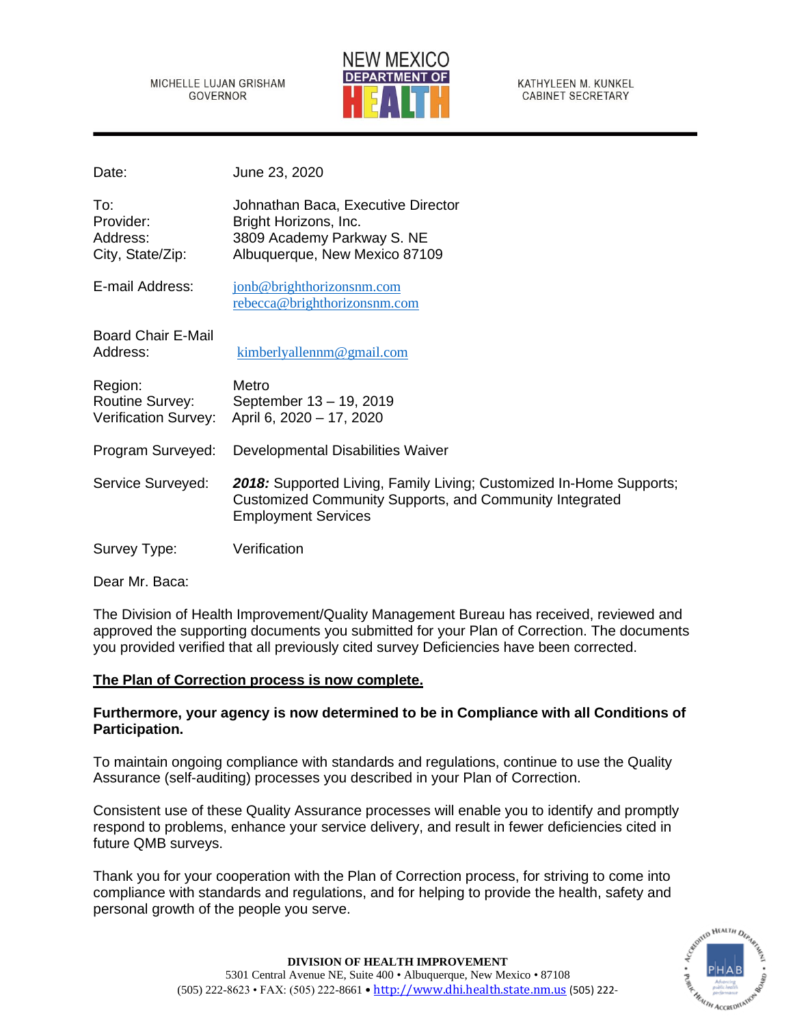#### MICHELLE LUJAN GRISHAM **GOVERNOR**



KATHYLEEN M. KUNKEL **CABINET SECRETARY** 

| Date:                                                     | June 23, 2020                                                                                                                                                |
|-----------------------------------------------------------|--------------------------------------------------------------------------------------------------------------------------------------------------------------|
| To:<br>Provider:<br>Address:<br>City, State/Zip:          | Johnathan Baca, Executive Director<br>Bright Horizons, Inc.<br>3809 Academy Parkway S. NE<br>Albuquerque, New Mexico 87109                                   |
| E-mail Address:                                           | jonb@brighthorizonsnm.com<br>rebecca@brighthorizonsnm.com                                                                                                    |
| <b>Board Chair E-Mail</b><br>Address:                     | kimberlyallennm@gmail.com                                                                                                                                    |
| Region:<br><b>Routine Survey:</b><br>Verification Survey: | Metro<br>September 13 - 19, 2019<br>April 6, 2020 - 17, 2020                                                                                                 |
| Program Surveyed:                                         | Developmental Disabilities Waiver                                                                                                                            |
| Service Surveyed:                                         | 2018: Supported Living, Family Living; Customized In-Home Supports;<br>Customized Community Supports, and Community Integrated<br><b>Employment Services</b> |
| Survey Type:                                              | Verification                                                                                                                                                 |

Dear Mr. Baca:

The Division of Health Improvement/Quality Management Bureau has received, reviewed and approved the supporting documents you submitted for your Plan of Correction. The documents you provided verified that all previously cited survey Deficiencies have been corrected.

# **The Plan of Correction process is now complete.**

# **Furthermore, your agency is now determined to be in Compliance with all Conditions of Participation.**

To maintain ongoing compliance with standards and regulations, continue to use the Quality Assurance (self-auditing) processes you described in your Plan of Correction.

Consistent use of these Quality Assurance processes will enable you to identify and promptly respond to problems, enhance your service delivery, and result in fewer deficiencies cited in future QMB surveys.

Thank you for your cooperation with the Plan of Correction process, for striving to come into compliance with standards and regulations, and for helping to provide the health, safety and personal growth of the people you serve.